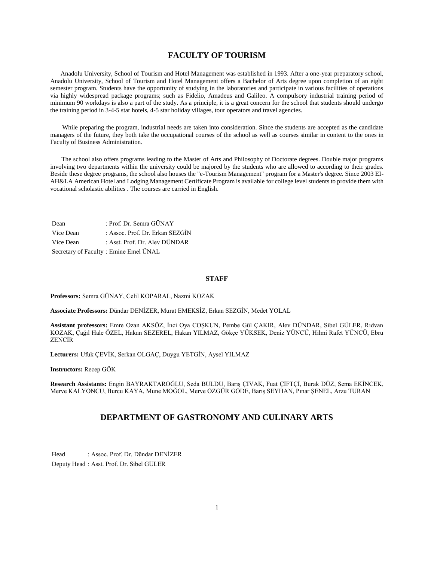# **FACULTY OF TOURISM**

 Anadolu University, School of Tourism and Hotel Management was established in 1993. After a one-year preparatory school, Anadolu University, School of Tourism and Hotel Management offers a Bachelor of Arts degree upon completion of an eight semester program. Students have the opportunity of studying in the laboratories and participate in various facilities of operations via highly widespread package programs; such as Fidelio, Amadeus and Galileo. A compulsory industrial training period of minimum 90 workdays is also a part of the study. As a principle, it is a great concern for the school that students should undergo the training period in 3-4-5 star hotels, 4-5 star holiday villages, tour operators and travel agencies.

While preparing the program, industrial needs are taken into consideration. Since the students are accepted as the candidate managers of the future, they both take the occupational courses of the school as well as courses similar in content to the ones in Faculty of Business Administration.

 The school also offers programs leading to the Master of Arts and Philosophy of Doctorate degrees. Double major programs involving two departments within the university could be majored by the students who are allowed to according to their grades. Beside these degree programs, the school also houses the "e-Tourism Management" program for a Master's degree. Since 2003 EI-AH&LA American Hotel and Lodging Management Certificate Program is available for college level students to provide them with vocational scholastic abilities . The courses are carried in English.

| Dean      | : Prof. Dr. Semra GÜNAY               |
|-----------|---------------------------------------|
| Vice Dean | : Assoc. Prof. Dr. Erkan SEZGİN       |
| Vice Dean | : Asst. Prof. Dr. Alev DÜNDAR         |
|           | Secretary of Faculty: Emine Emel ÜNAL |

#### **STAFF**

#### **Professors:** Semra GÜNAY, Celil KOPARAL, Nazmi KOZAK

**Associate Professors:** Dündar DENİZER, Murat EMEKSİZ, Erkan SEZGİN, Medet YOLAL

**Assistant professors:** Emre Ozan AKSÖZ, İnci Oya COŞKUN, Pembe Gül ÇAKIR, Alev DÜNDAR, Sibel GÜLER, Rıdvan KOZAK, Çağıl Hale ÖZEL, Hakan SEZEREL, Hakan YILMAZ, Gökçe YÜKSEK, Deniz YÜNCÜ, Hilmi Rafet YÜNCÜ, Ebru ZENCİR

**Lecturers:** Ufuk ÇEVİK, Serkan OLGAÇ, Duygu YETGİN, Aysel YILMAZ

**Instructors:** Recep GÖK

**Research Assistants:** Engin BAYRAKTAROĞLU, Seda BULDU, Barış ÇIVAK, Fuat ÇİFTÇİ, Burak DÜZ, Sema EKİNCEK, Merve KALYONCU, Burcu KAYA, Mune MOĞOL, Merve ÖZGÜR GÖDE, Barış SEYHAN, Pınar ŞENEL, Arzu TURAN

# **DEPARTMENT OF GASTRONOMY AND CULINARY ARTS**

Head : Assoc. Prof. Dr. Dündar DENİZER Deputy Head : Asst. Prof. Dr. Sibel GÜLER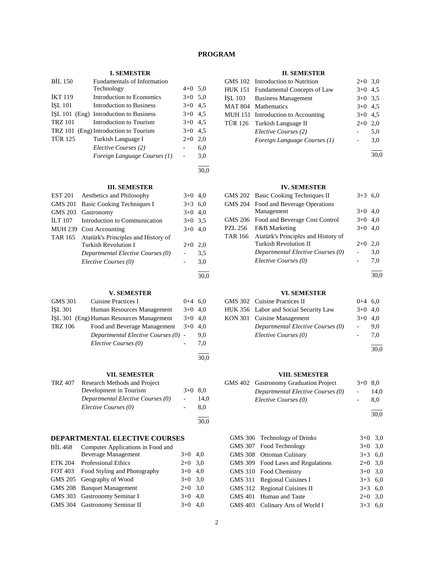# **PROGRAM**

#### **I. SEMESTER**

| <b>BIL 150</b> | Fundamentals of Information            |           |     |
|----------------|----------------------------------------|-----------|-----|
|                | Technology                             | $4+0$ 5.0 |     |
| <b>IKT 119</b> | Introduction to Economics              | $3+0$ 5.0 |     |
| <b>ISL 101</b> | Introduction to Business               | $3+0$ 4.5 |     |
|                | ISL 101 (Eng) Introduction to Business | $3+0$ 4.5 |     |
| <b>TRZ 101</b> | Introduction to Tourism                | $3+0$ 4.5 |     |
|                | TRZ 101 (Eng) Introduction to Tourism  | $3+0$     | 4,5 |
| <b>TÜR 125</b> | Turkish Language I                     | $2+0$     | 2,0 |
|                | Elective Courses (2)                   |           | 6,0 |
|                | Foreign Language Courses (1)           |           | 3,0 |
|                |                                        |           |     |

30,0

30,0

30,0

#### **III. SEMESTER**

| EST 201        | Aesthetics and Philosophy                   | $3+0$     | 4.0 |
|----------------|---------------------------------------------|-----------|-----|
| GMS 201        | Basic Cooking Techniques I                  | $3+3$ 6,0 |     |
| <b>GMS 203</b> | Gastronomy                                  | $3+0$ 4.0 |     |
| <b>ILT 107</b> | Introduction to Communication               | $3+0$ 3.5 |     |
|                | MUH 239 Cost Accounting                     | $3+0$ 4.0 |     |
|                | TAR 165 Atatürk's Principles and History of |           |     |
|                | <b>Turkish Revolution I</b>                 | $2+0$     | 2.0 |
|                | Departmental Elective Courses (0)           |           | 3.5 |
|                | Elective Courses (0)                        |           | 3,0 |
|                |                                             |           |     |

#### **V. SEMESTER**

| <b>GMS 301</b> | Cuisine Practices I                      | $0+4$ 6,0 |     |
|----------------|------------------------------------------|-----------|-----|
| <b>ISL 301</b> | Human Resources Management               | $3+0$ 4,0 |     |
|                | ISL 301 (Eng) Human Resources Management | $3+0$ 4,0 |     |
| <b>TRZ 106</b> | Food and Beverage Management             | $3+0$ 4,0 |     |
|                | Departmental Elective Courses (0) -      |           | 9.0 |
|                | Elective Courses (0)                     |           | 7.0 |
|                |                                          |           |     |

#### **VII. SEMESTER**

|         | ****************                  |           |      |
|---------|-----------------------------------|-----------|------|
| TRZ 407 | Research Methods and Project      |           |      |
|         | Development in Tourism            | $3+0$ 8.0 |      |
|         | Departmental Elective Courses (0) |           | 14.0 |
|         | Elective Courses (0)              |           | 8.0  |
|         |                                   |           | 30,0 |

## **DEPARTMENTAL ELECTIVE COURSES**

| <b>BIL 468</b> | Computer Applications in Food and |           |  |
|----------------|-----------------------------------|-----------|--|
|                | <b>Beverage Management</b>        | $3+0$ 4.0 |  |
| ETK 204        | <b>Professional Ethics</b>        | $2+0$ 3.0 |  |
| FOT 403        | Food Styling and Photography      | $3+0$ 4,0 |  |
|                | GMS 205 Geography of Wood         | $3+0$ 3.0 |  |
|                | GMS 208 Banquet Management        | $2+0$ 3.0 |  |
|                | GMS 303 Gastronomy Seminar I      | $3+0$ 4,0 |  |
|                | GMS 304 Gastronomy Seminar II     | $3+0$ 4.0 |  |

#### **II. SEMESTER**

|  | GMS 102 Introduction to Nutrition   | $2+0$ 3,0 |     |
|--|-------------------------------------|-----------|-----|
|  | HUK 151 Fundamental Concepts of Law | $3+0$ 4.5 |     |
|  | ISL 103 Business Management         | $3+0$ 3.5 |     |
|  | MAT 804 Mathematics                 | $3+0$ 4.5 |     |
|  | MUH 151 Introduction to Accounting  | $3+0$ 4.5 |     |
|  | TÜR 126 Turkish Language II         | $2+0$     | 2.0 |
|  | Elective Courses (2)                |           | 5,0 |
|  | Foreign Language Courses (1)        |           | 3,0 |
|  |                                     |           |     |

30,0

#### **IV. SEMESTER**

|                | GMS 202 Basic Cooking Techniques II         | $3+3$ 6.0 |     |
|----------------|---------------------------------------------|-----------|-----|
|                | GMS 204 Food and Beverage Operations        |           |     |
|                | Management                                  | $3+0$ 4.0 |     |
|                | GMS 206 Food and Beverage Cost Control      | $3+0$ 4.0 |     |
| <b>PZL 256</b> | <b>F&amp;B</b> Marketing                    | $3+0$ 4.0 |     |
|                | TAR 166 Atatürk's Principles and History of |           |     |
|                | <b>Turkish Revolution II</b>                | $2+0$     | 2,0 |
|                | Departmental Elective Courses (0)           |           | 3,0 |
|                | Elective Courses (0)                        |           | 7,0 |
|                |                                             |           |     |

30,0

#### **VI. SEMESTER**

| GMS 302 Cuisine Practices II          | $0+4$ 6.0 |     |
|---------------------------------------|-----------|-----|
| HUK 356 Labor and Social Security Law | $3+0$ 4.0 |     |
| KON 301 Cuisine Management            | $3+0$ 4.0 |     |
| Departmental Elective Courses (0)     |           | 9.0 |
| Elective Courses (0)                  |           | 7.0 |
|                                       |           |     |

30,0

#### **VIII. SEMESTER**

| GMS 402 Gastronomy Graduation Project | $3+0$ 8.0 |      |
|---------------------------------------|-----------|------|
| Departmental Elective Courses (0)     | $-$       | 14.0 |
| Elective Courses (0)                  |           | 8.0  |
|                                       |           |      |

30,0

| GMS 306 Technology of Drinks      | $3+0$ 3.0 |  |
|-----------------------------------|-----------|--|
| GMS 307 Food Technology           | $3+0$ 3,0 |  |
| GMS 308 Ottoman Culinary          | $3+3$ 6,0 |  |
| GMS 309 Food Laws and Regulations | $2+0$ 3,0 |  |
| GMS 310 Food Chemistry            | $3+0$ 3.0 |  |
| GMS 311 Regional Cuisines I       | $3+3$ 6,0 |  |
| GMS 312 Regional Cuisines II      | $3+3$ 6,0 |  |
| GMS 401 Human and Taste           | $2+0$ 3,0 |  |
| GMS 403 Culinary Arts of World I  | $3+3$ 6,0 |  |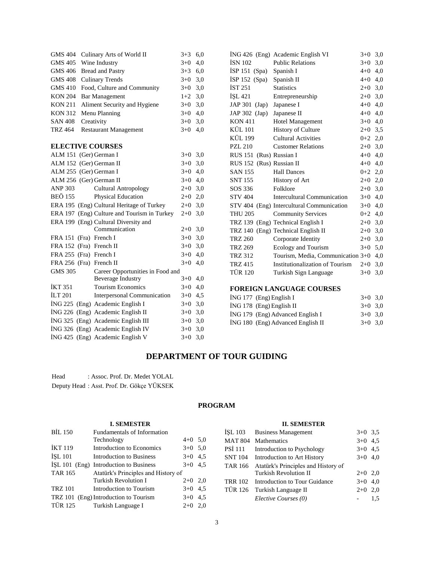| <b>GMS 404</b>          | Culinary Arts of World II                   | $3+3$     | 6.0 | ING 426 (Eng) Academi    |                   |
|-------------------------|---------------------------------------------|-----------|-----|--------------------------|-------------------|
| <b>GMS 405</b>          | Wine Industry                               | $3+0$     | 4,0 | <b>ISN 102</b>           | Public Re         |
| <b>GMS 406</b>          | <b>Bread and Pastry</b>                     | $3+3$     | 6,0 | $ISP 151$ (Spa)          | Spanish I         |
| <b>GMS 408</b>          | <b>Culinary Trends</b>                      | $3+0$ 3,0 |     | $ISP 152$ (Spa)          | Spanish I         |
| <b>GMS 410</b>          | Food, Culture and Community                 | $3+0$     | 3,0 | <b>İST 251</b>           | <b>Statistics</b> |
| <b>KON 204</b>          | <b>Bar Management</b>                       | $1+2$ 3,0 |     | ISL 421                  | Entreprei         |
| <b>KON 211</b>          | Aliment Security and Hygiene                | $3+0$     | 3,0 | JAP 301 (Jap)            | Japanese          |
| <b>KON 312</b>          | Menu Planning                               | $3+0$ 4,0 |     | $JAP 302$ (Jap)          | Japanese          |
| <b>SAN 408</b>          | Creativity                                  | $3+0$     | 3,0 | <b>KON 411</b>           | Hotel Ma          |
| <b>TRZ 464</b>          | <b>Restaurant Management</b>                | $3+0$     | 4,0 | KÜL 101                  | History o         |
|                         |                                             |           |     | KÜL 199                  | Cultural          |
| <b>ELECTIVE COURSES</b> |                                             |           |     | <b>PZL 210</b>           | Customer          |
| ALM 151 (Ger) German I  |                                             | $3+0$ 3,0 |     | RUS 151 (Rus) Russian I  |                   |
| ALM 152 (Ger) German II |                                             | $3+0$ 3,0 |     | RUS 152 (Rus) Russian I  |                   |
| ALM 255 (Ger) German I  |                                             | $3+0$ 4,0 |     | <b>SAN 155</b>           | Hall Dan          |
| ALM 256 (Ger) German II |                                             | $3+0$ 4.0 |     | <b>SNT 155</b>           | History o         |
| <b>ANP 303</b>          | <b>Cultural Antropology</b>                 | $2+0$ 3,0 |     | SOS 336                  | Folklore          |
| <b>BEÖ 155</b>          | Physical Education                          | $2+0$ 2,0 |     | <b>STV 404</b>           | Intercultu        |
|                         | ERA 195 (Eng) Cultural Heritage of Turkey   | $2+0$ 3,0 |     | STV 404 (Eng) Intercultu |                   |
|                         | ERA 197 (Eng) Culture and Tourism in Turkey | $2+0$ 3,0 |     | <b>THU 205</b>           | Commun            |
|                         | ERA 199 (Eng) Cultural Diversity and        |           |     | TRZ 139 (Eng) Technica   |                   |
|                         | Communication                               | $2+0$ 3.0 |     | TRZ 140 (Eng) Technica   |                   |
| FRA 151 (Fra) French I  |                                             | $3+0$ 3,0 |     | <b>TRZ 260</b>           | Corporate         |
| FRA 152 (Fra) French II |                                             | $3+0$ 3,0 |     | <b>TRZ 269</b>           | Ecology           |
| FRA 255 (Fra) French I  |                                             | $3+0$ 4,0 |     | <b>TRZ 312</b>           | Tourism,          |
| FRA 256 (Fra) French II |                                             | $3+0$ 4,0 |     | <b>TRZ 415</b>           | Institutio        |
| <b>GMS 305</b>          | Career Opportunities in Food and            |           |     | <b>TÜR 120</b>           | Turkish S         |
|                         | <b>Beverage Industry</b>                    | $3+0$ 4,0 |     |                          |                   |
| <b>İKT 351</b>          | <b>Tourism Economics</b>                    | $3+0$ 4,0 |     | <b>FOREIGN LANGUA</b>    |                   |
| <b>ILT 201</b>          | Interpersonal Communication                 | $3+0$ 4,5 |     | ING 177 (Eng) English I  |                   |
|                         | İNG 225 (Eng) Academic English I            | $3+0$ 3,0 |     | İNG 178 (Eng) English II |                   |
|                         | İNG 226 (Eng) Academic English II           | $3+0$ 3,0 |     | İNG 179 (Eng) Advanced   |                   |
|                         | İNG 325 (Eng) Academic English III          | $3+0$ 3,0 |     | İNG 180 (Eng) Advanced   |                   |
|                         | İNG 326 (Eng) Academic English IV           | $3+0$ 3,0 |     |                          |                   |
|                         | İNG 425 (Eng) Academic English V            | $3+0$ 3,0 |     |                          |                   |
|                         |                                             |           |     |                          |                   |

|                          | İNG 426 (Eng) Academic English VI         | $3+0$     | 3,0 |
|--------------------------|-------------------------------------------|-----------|-----|
| <b>ISN 102</b>           | <b>Public Relations</b>                   | $3+0$     | 3,0 |
| ISP $151$ (Spa)          | Spanish I                                 | $4 + 0$   | 4,0 |
| ISP 152 (Spa)            | Spanish II                                | $4 + 0$   | 4,0 |
| IST 251                  | <b>Statistics</b>                         | $2+0$     | 3,0 |
| <b>ISL 421</b>           | Entrepreneurship                          | $2+0$     | 3,0 |
| <b>JAP 301</b><br>(Jap)  | Japanese I                                | $4 + 0$   | 4,0 |
| $JAP 302$ (Jap)          | Japanese II                               | $4+0$ 4,0 |     |
| <b>KON 411</b>           | Hotel Management                          | $3+0$ 4,0 |     |
| <b>KÜL 101</b>           | <b>History of Culture</b>                 | $2+0$     | 3,5 |
| KÜL 199                  | <b>Cultural Activities</b>                | $0+2$ 2,0 |     |
| <b>PZL 210</b>           | <b>Customer Relations</b>                 | $2+0$ 3,0 |     |
| RUS 151 (Rus) Russian I  |                                           | $4+0$ 4,0 |     |
| RUS 152 (Rus) Russian II |                                           | $4 + 0$   | 4,0 |
| <b>SAN 155</b>           | <b>Hall Dances</b>                        | $0 + 2$   | 2,0 |
| <b>SNT 155</b>           | History of Art                            | $2+0$ 2,0 |     |
| SOS 336                  | Folklore                                  | $2+0$     | 3,0 |
| <b>STV 404</b>           | <b>Intercultural Communication</b>        | $3+0$     | 4,0 |
|                          | STV 404 (Eng) Intercultural Communication | $3+0$     | 4,0 |
| <b>THU 205</b>           | <b>Community Services</b>                 | $0 + 2$   | 4,0 |
|                          | TRZ 139 (Eng) Technical English I         | $2+0$     | 3,0 |
|                          | TRZ 140 (Eng) Technical English II        | $2+0$     | 3,0 |
| <b>TRZ 260</b>           | Corporate Identity                        | $2+0$     | 3,0 |
| <b>TRZ 269</b>           | Ecology and Tourism                       | $3+0$     | 5,0 |
| <b>TRZ 312</b>           | Tourism, Media, Communication 3+0 4,0     |           |     |
| <b>TRZ 415</b>           | Institutionalization of Tourism           | $2+0$     | 3,0 |
| <b>TÜR 120</b>           | Turkish Sign Language                     | $3+0$     | 3,0 |
|                          |                                           |           |     |

# **GE COURSES**

| ING 177 (Eng) English I           | $3+0$ 3.0 |  |
|-----------------------------------|-----------|--|
| İNG 178 (Eng) English II          | $3+0$ 3.0 |  |
| ING 179 (Eng) Advanced English I  | $3+0$ 3.0 |  |
| ING 180 (Eng) Advanced English II | $3+0$ 3.0 |  |

# **DEPARTMENT OF TOUR GUIDING**

| Head | : Assoc. Prof. Dr. Medet YOLAL            |
|------|-------------------------------------------|
|      | Deputy Head: Asst. Prof. Dr. Gökçe YÜKSEK |

# **PROGRAM**

#### **I. SEMESTER**

| <b>BİL 150</b> | Fundamentals of Information            |           |     |
|----------------|----------------------------------------|-----------|-----|
|                | Technology                             | $4+0$ 5.0 |     |
| <b>İKT 119</b> | Introduction to Economics              | $3+0$ 5,0 |     |
| <b>ISL 101</b> | <b>Introduction to Business</b>        | $3+0$ 4.5 |     |
|                | ISL 101 (Eng) Introduction to Business | $3+0$ 4.5 |     |
| <b>TAR 165</b> | Atatürk's Principles and History of    |           |     |
|                | <b>Turkish Revolution I</b>            | $2+0$ 2,0 |     |
| <b>TRZ 101</b> | Introduction to Tourism                | $3+0$ 4.5 |     |
|                | TRZ 101 (Eng) Introduction to Tourism  | $3+0$ 4.5 |     |
| <b>TÜR 125</b> | Turkish Language I                     | $2+0$     | 2,0 |

#### **II. SEMESTER**

|                | ISL 103 Business Management                 | $3+0$ 3.5 |     |
|----------------|---------------------------------------------|-----------|-----|
|                | MAT 804 Mathematics                         | $3+0$ 4.5 |     |
| <b>PSI 111</b> | Introduction to Psychology                  | $3+0$ 4.5 |     |
|                | SNT 104 Introduction to Art History         | $3+0$ 4,0 |     |
|                | TAR 166 Atatürk's Principles and History of |           |     |
|                | <b>Turkish Revolution II</b>                | $2+0$ 2,0 |     |
|                | TRR 102 Introduction to Tour Guidance       | $3+0$ 4,0 |     |
|                | TÜR 126 Turkish Language II                 | $2+0$     | 2,0 |
|                | Elective Courses (0)                        |           | 1.5 |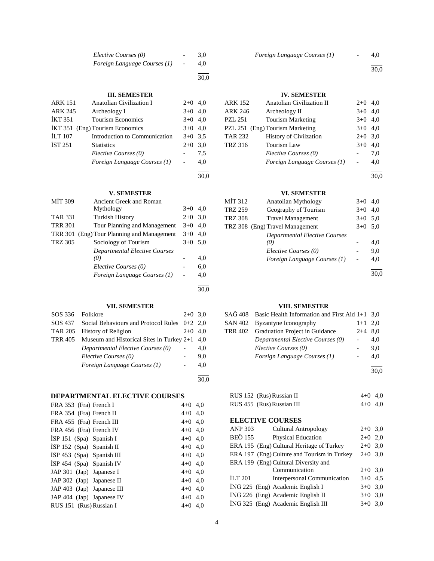| Elective Courses (0)         |                          | 3.0 |
|------------------------------|--------------------------|-----|
| Foreign Language Courses (1) | $\overline{\phantom{a}}$ | 4.0 |
|                              |                          |     |

30,0

#### **III. SEMESTER**

| <b>ARK 151</b> | <b>Anatolian Civilization I</b> | $2 + 0$   | 4.0  |
|----------------|---------------------------------|-----------|------|
| <b>ARK 245</b> | Archeology I                    | $3+0$ 4.0 |      |
| <b>İKT 351</b> | <b>Tourism Economics</b>        | $3+0$ 4.0 |      |
|                | IKT 351 (Eng) Tourism Economics | $3+0$ 4.0 |      |
| <b>ILT 107</b> | Introduction to Communication   | $3+0$ 3.5 |      |
| <b>IST 251</b> | <b>Statistics</b>               | $2+0$     | 3.0  |
|                | Elective Courses (0)            |           | 7.5  |
|                | Foreign Language Courses (1)    |           | 4,0  |
|                |                                 |           |      |
|                |                                 |           | 30.0 |

# **V. SEMESTER**

| MIT 309        | <b>Ancient Greek and Roman</b>     |       |      |
|----------------|------------------------------------|-------|------|
|                | Mythology                          | $3+0$ | 4.0  |
| <b>TAR 331</b> | <b>Turkish History</b>             | $2+0$ | 3.0  |
| <b>TRR 301</b> | Tour Planning and Management       | $3+0$ | 4,0  |
| TRR 301        | (Eng) Tour Planning and Management | $3+0$ | 4.0  |
| <b>TRZ 305</b> | Sociology of Tourism               | $3+0$ | 5,0  |
|                | Departmental Elective Courses      |       |      |
|                | (0)                                |       | 4,0  |
|                | Elective Courses (0)               |       | 6,0  |
|                | Foreign Language Courses (1)       |       | 4,0  |
|                |                                    |       | 30.0 |

#### **VII. SEMESTER**

| SOS 336 Folklore |                                                          | $2+0$ 3.0 |     |
|------------------|----------------------------------------------------------|-----------|-----|
|                  | $SOS 437$ Social Behaviours and Protocol Rules $0+2$ 2.0 |           |     |
|                  | TAR 205 History of Religion                              | $2+0$ 4.0 |     |
|                  | TRR 405 Museum and Historical Sites in Turkey $2+1$ 4,0  |           |     |
|                  | Departmental Elective Courses (0)                        |           | 4,0 |
|                  | Elective Courses (0)                                     |           | 9.0 |
|                  | Foreign Language Courses (1)                             |           | 4.0 |
|                  |                                                          |           |     |

**DEPARTMENTAL ELECTIVE COURSES**

| FRA 353 (Fra) French I      | $4+0$ 4.0 |  |
|-----------------------------|-----------|--|
| FRA 354 (Fra) French II     | $4+0$ 4.0 |  |
| FRA 455 (Fra) French III    | $4+0$ 4.0 |  |
| FRA 456 (Fra) French IV     | $4+0$ 4.0 |  |
| ISP 151 $(Spa)$ Spanish I   | $4+0$ 4.0 |  |
| İSP 152 (Spa) Spanish II    | $4+0$ 4,0 |  |
| $ISP 453$ (Spa) Spanish III | $4+0$ 4,0 |  |
| ISP $454$ (Spa) Spanish IV  | $4+0$ 4.0 |  |
| JAP 301 (Jap) Japanese I    | $4+0$ 4,0 |  |
| JAP 302 (Jap) Japanese II   | $4+0$ 4.0 |  |
| JAP 403 (Jap) Japanese III  | $4+0$ 4,0 |  |
| JAP 404 (Jap) Japanese IV   | $4+0$ 4.0 |  |
| RUS 151 (Rus) Russian I     | $4+0$ 4.0 |  |
|                             |           |  |

l 30,0

#### **IV. SEMESTER**

| <b>ARK 152</b> | <b>Anatolian Civilization II</b> | $2+0$     | 4.0 |
|----------------|----------------------------------|-----------|-----|
| <b>ARK 246</b> | Archeology II                    | $3+0$     | 4.0 |
| PZL 251        | <b>Tourism Marketing</b>         | $3+0$ 4.0 |     |
|                | PZL 251 (Eng) Tourism Marketing  | $3+0$ 4.0 |     |
| <b>TAR 232</b> | <b>History of Civilzation</b>    | $2+0$ 3.0 |     |
| <b>TRZ 316</b> | Tourism Law                      | $3+0$     | 4.0 |
|                | Elective Courses (0)             |           | 7.0 |
|                | Foreign Language Courses (1)     |           | 4.0 |
|                |                                  |           |     |

30,0

## **VI. SEMESTER**

| MİT 312 | Anatolian Mythology                  | $3+0$     | 4.0  |
|---------|--------------------------------------|-----------|------|
| TRZ 259 | Geography of Tourism                 | $3+0$     | 4,0  |
| TRZ 308 | <b>Travel Management</b>             | $3+0$ 5.0 |      |
|         | TRZ 308 (Eng) Travel Management      | $3+0$ 5.0 |      |
|         | <b>Departmental Elective Courses</b> |           |      |
|         | (0)                                  |           | 4,0  |
|         | Elective Courses (0)                 |           | 9,0  |
|         | Foreign Language Courses (1)         |           | 4,0  |
|         |                                      |           |      |
|         |                                      |           | 30,0 |

## **VIII. SEMESTER**

| $SA\ddot{G}$ 408 Basic Health Information and First Aid 1+1 3,0 |           |     |
|-----------------------------------------------------------------|-----------|-----|
| SAN 402 Byzantyne Iconography                                   | $1+1$ 2,0 |     |
| TRR 402 Graduation Project in Guidance                          | $2+4$ 8.0 |     |
| Departmental Elective Courses (0)                               |           | 4.0 |
| Elective Courses (0)                                            |           | 9.0 |
| Foreign Language Courses (1)                                    |           | 4.0 |
|                                                                 |           |     |

30,0

| RUS 152 (Rus) Russian II  | $4+0$ 4.0 |  |
|---------------------------|-----------|--|
| RUS 455 (Rus) Russian III | $4+0$ 4.0 |  |

# **ELECTIVE COURSES**

| <b>ANP 303</b> | <b>Cultural Antropology</b>                 | $2+0$ 3,0 |     |
|----------------|---------------------------------------------|-----------|-----|
| <b>BEÖ 155</b> | <b>Physical Education</b>                   | $2+0$     | 2,0 |
|                | ERA 195 (Eng) Cultural Heritage of Turkey   | $2+0$     | 3,0 |
|                | ERA 197 (Eng) Culture and Tourism in Turkey | $2+0$ 3.0 |     |
|                | ERA 199 (Eng) Cultural Diversity and        |           |     |
|                | Communication                               | $2+0$ 3.0 |     |
| <b>ILT 201</b> | Interpersonal Communication                 | $3+0$ 4.5 |     |
|                | ING 225 (Eng) Academic English I            | $3+0$ 3,0 |     |
|                | İNG 226 (Eng) Academic English II           | $3+0$ 3,0 |     |
|                | İNG 325 (Eng) Academic English III          | $3+0$     | 3.0 |
|                |                                             |           |     |

30,0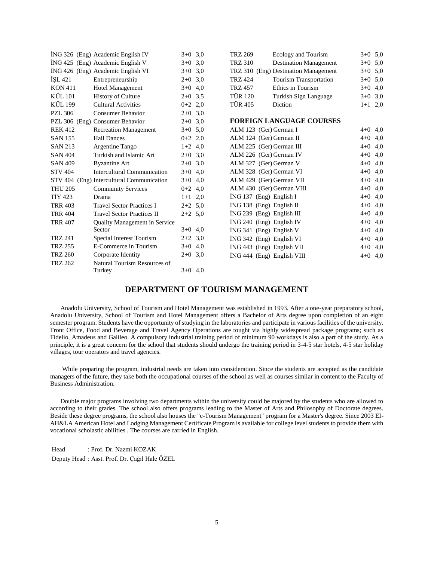|                | ING 326 (Eng) Academic English IV         | $3+0$ 3.0 |     | <b>TRZ 269</b> | Ecology and Tourism                  | $3+0$ 5,0 |     |
|----------------|-------------------------------------------|-----------|-----|----------------|--------------------------------------|-----------|-----|
|                | ING 425 (Eng) Academic English V          | $3+0$ 3,0 |     | <b>TRZ 310</b> | <b>Destination Management</b>        | $3+0$ 5,0 |     |
|                | İNG 426 (Eng) Academic English VI         | $3+0$ 3.0 |     |                | TRZ 310 (Eng) Destination Management | $3+0$ 5.0 |     |
| <b>ISL 421</b> | Entrepreneurship                          | $2+0$     | 3,0 | <b>TRZ 424</b> | Tourism Transportation               | $3+0$ 5,0 |     |
| <b>KON 411</b> | <b>Hotel Management</b>                   | $3+0$     | 4,0 | <b>TRZ 457</b> | Ethics in Tourism                    | $3+0$     | 4,0 |
| <b>KÜL</b> 101 | History of Culture                        | $2+0$ 3.5 |     | <b>TÜR 120</b> | Turkish Sign Language                | $3+0$ 3,0 |     |
| <b>KÜL 199</b> | <b>Cultural Activities</b>                | $0+2$ 2,0 |     | <b>TÜR 405</b> | Diction                              | $1 + 1$   | 2,0 |
| <b>PZL 306</b> | Consumer Behavior                         | $2+0$ 3,0 |     |                |                                      |           |     |
|                | PZL 306 (Eng) Consumer Behavior           | $2+0$     | 3,0 |                | <b>FOREIGN LANGUAGE COURSES</b>      |           |     |
| <b>REK 412</b> | <b>Recreation Management</b>              | $3+0$     | 5.0 |                | ALM 123 (Ger) German I               | $4+0$ 4,0 |     |
| <b>SAN 155</b> | <b>Hall Dances</b>                        | $0+2$ 2,0 |     |                | ALM 124 (Ger) German II              | $4+0$ 4,0 |     |
| <b>SAN 213</b> | Argentine Tango                           | $1+2$ 4,0 |     |                | ALM 225 (Ger) German III             | $4 + 0$   | 4,0 |
| <b>SAN 404</b> | Turkish and Islamic Art                   | $2+0$ 3.0 |     |                | ALM 226 (Ger) German IV              | $4+0$ 4,0 |     |
| <b>SAN 409</b> | <b>Byzantine Art</b>                      | $2+0$     | 3,0 |                | ALM 327 (Ger) German V               | $4 + 0$   | 4,0 |
| <b>STV 404</b> | Intercultural Communication               | $3+0$     | 4,0 |                | ALM 328 (Ger) German VI              | $4 + 0$   | 4,0 |
|                | STV 404 (Eng) Intercultural Communication | $3+0$     | 4,0 |                | ALM 429 (Ger) German VII             | $4+0$ 4,0 |     |
| <b>THU 205</b> | <b>Community Services</b>                 | $0+2$ 4,0 |     |                | ALM 430 (Ger) German VIII            | $4 + 0$   | 4,0 |
| <b>TIY 423</b> | Drama                                     | $1+1$ 2,0 |     |                | $ING 137$ (Eng) English I            | $4+0$ 4,0 |     |
| <b>TRR 403</b> | <b>Travel Sector Practices I</b>          | $2+2$ 5.0 |     |                | İNG 138 (Eng) English II             | $4 + 0$   | 4,0 |
| <b>TRR 404</b> | <b>Travel Sector Practices II</b>         | $2+2$ 5.0 |     |                | İNG 239 (Eng) English III            | $4 + 0$   | 4,0 |
| <b>TRR 407</b> | <b>Quality Management in Service</b>      |           |     |                | $ING 240$ (Eng) English IV           | $4 + 0$   | 4,0 |
|                | Sector                                    | $3+0$ 4,0 |     |                | İNG 341 (Eng) English V              | $4 + 0$   | 4,0 |
| <b>TRZ 241</b> | Special Interest Tourism                  | $2+2$ 3,0 |     |                | İNG 342 (Eng) English VI             | $4+0$ 4,0 |     |
| <b>TRZ 255</b> | E-Commerce in Tourism                     | $3+0$ 4,0 |     |                | $ING 443$ (Eng) English VII          | $4 + 0$   | 4,0 |
| <b>TRZ 260</b> | Corporate Identity                        | $2+0$ 3,0 |     |                | İNG 444 (Eng) English VIII           | $4+0$ 4,0 |     |
| <b>TRZ 262</b> | Natural Tourism Resources of              |           |     |                |                                      |           |     |
|                | Turkey                                    | $3+0$ 4.0 |     |                |                                      |           |     |

# **DEPARTMENT OF TOURISM MANAGEMENT**

 Anadolu University, School of Tourism and Hotel Management was established in 1993. After a one-year preparatory school, Anadolu University, School of Tourism and Hotel Management offers a Bachelor of Arts degree upon completion of an eight semester program. Students have the opportunity of studying in the laboratories and participate in various facilities of the university. Front Office, Food and Beverage and Travel Agency Operations are tought via highly widespread package programs; such as Fidelio, Amadeus and Galileo. A compulsory industrial training period of minimum 90 workdays is also a part of the study. As a principle, it is a great concern for the school that students should undergo the training period in 3-4-5 star hotels, 4-5 star holiday villages, tour operators and travel agencies.

 While preparing the program, industrial needs are taken into consideration. Since the students are accepted as the candidate managers of the future, they take both the occupational courses of the school as well as courses similar in content to the Faculty of Business Administration.

 Double major programs involving two departments within the university could be majored by the students who are allowed to according to their grades. The school also offers programs leading to the Master of Arts and Philosophy of Doctorate degrees. Beside these degree programs, the school also houses the "e-Tourism Management" program for a Master's degree. Since 2003 EI-AH&LA American Hotel and Lodging Management Certificate Program is available for college level students to provide them with vocational scholastic abilities . The courses are carried in English.

Head : Prof. Dr. Nazmi KOZAK Deputy Head : Asst. Prof. Dr. Çağıl Hale ÖZEL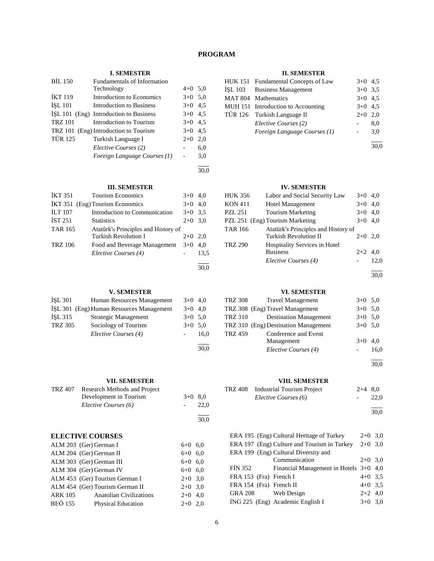# **PROGRAM**

#### **I. SEMESTER**

| <b>BIL 150</b> | Fundamentals of Information            |           |     |
|----------------|----------------------------------------|-----------|-----|
|                | Technology                             | $4+0$ 5.0 |     |
| <b>İKT 119</b> | Introduction to Economics              | $3+0$ 5.0 |     |
| <b>ISL 101</b> | Introduction to Business               | $3+0$ 4.5 |     |
|                | ISL 101 (Eng) Introduction to Business | $3+0$ 4.5 |     |
| <b>TRZ 101</b> | Introduction to Tourism                | $3+0$ 4.5 |     |
|                | TRZ 101 (Eng) Introduction to Tourism  | $3+0$     | 4,5 |
| <b>TÜR 125</b> | Turkish Language I                     | $2+0$     | 2,0 |
|                | Elective Courses (2)                   |           | 6,0 |
|                | Foreign Language Courses (1)           |           | 3,0 |
|                |                                        |           |     |

30,0

30,0

30,0

30,0

# **III. SEMESTER**

| İKT 351        | <b>Tourism Economics</b>            | $3+0$ 4.0 |      |
|----------------|-------------------------------------|-----------|------|
|                | IKT 351 (Eng) Tourism Economics     | $3+0$ 4.0 |      |
| <b>ILT 107</b> | Introduction to Communication       | $3+0$ 3.5 |      |
| <b>IST 251</b> | <b>Statistics</b>                   | $2+0$ 3.0 |      |
| <b>TAR 165</b> | Atatürk's Principles and History of |           |      |
|                | <b>Turkish Revolution I</b>         | $2+0$     | 2.0  |
| <b>TRZ 106</b> | Food and Beverage Management        | $3+0$     | 4.0  |
|                | Elective Courses (4)                |           | 13.5 |
|                |                                     |           |      |

# **V. SEMESTER**

| ISL 301        | Human Resources Management               | $3+0$ 4,0 |      |
|----------------|------------------------------------------|-----------|------|
|                | İŞL 301 (Eng) Human Resources Management | $3+0$ 4.0 |      |
| ISL 315        | Strategic Management                     | $3+0$ 5.0 |      |
| <b>TRZ 305</b> | Sociology of Tourism                     | $3+0$ 5.0 |      |
|                | Elective Courses (4)                     |           | 16.0 |
|                |                                          |           |      |

#### **VII. SEMESTER**

| TRZ 407 | Research Methods and Project |           |      |
|---------|------------------------------|-----------|------|
|         | Development in Tourism       | $3+0$ 8.0 |      |
|         | Elective Courses (6)         |           | 22.0 |
|         |                              |           |      |

# **ELECTIVE COURSES**

|                | ALM 203 (Ger) German I          | $6+0$ 6,0 |  |
|----------------|---------------------------------|-----------|--|
|                | ALM 204 (Ger) German II         | $6+0$ 6.0 |  |
|                | ALM 303 (Ger) German III        | $6+0$ 6.0 |  |
|                | ALM 304 (Ger) German IV         | $6+0$ 6.0 |  |
|                | ALM 453 (Ger) Tourism German I  | $2+0$ 3.0 |  |
|                | ALM 454 (Ger) Tourism German II | $2+0$ 3.0 |  |
| <b>ARK 105</b> | <b>Anatolian Civilizations</b>  | $2+0$ 4.0 |  |
| <b>BEÖ 155</b> | <b>Physical Education</b>       | $2+0$ 2.0 |  |
|                |                                 |           |  |

#### **II. SEMESTER**

| HUK 151 Fundamental Concepts of Law | $3+0$ 4,5 |     |
|-------------------------------------|-----------|-----|
| ISL 103 Business Management         | $3+0$ 3.5 |     |
| MAT 804 Mathematics                 | $3+0$ 4.5 |     |
| MUH 151 Introduction to Accounting  | $3+0$ 4.5 |     |
| TÜR 126 Turkish Language II         | $2+0$ 2.0 |     |
| Elective Courses (2)                |           | 8,0 |
| Foreign Language Courses (1)        | $\sim$    | 3,0 |
|                                     |           |     |

30,0

# **IV. SEMESTER**

| <b>HUK 356</b> | Labor and Social Security Law       | $3+0$     | 4.0  |
|----------------|-------------------------------------|-----------|------|
| <b>KON 411</b> | <b>Hotel Management</b>             | $3+0$     | 4.0  |
| <b>PZL 251</b> | <b>Tourism Marketing</b>            | $3+0$ 4,0 |      |
|                | PZL 251 (Eng) Tourism Marketing     | $3+0$     | 4.0  |
| <b>TAR 166</b> | Atatürk's Principles and History of |           |      |
|                | <b>Turkish Revolution II</b>        | $2+0$     | 2.0  |
| <b>TRZ 290</b> | Hospitality Services in Hotel       |           |      |
|                | <b>Business</b>                     | $2+2$ 4.0 |      |
|                | Elective Courses (4)                |           | 12.0 |
|                |                                     |           |      |

30,0

#### **VI. SEMESTER**

| <b>TRZ 308</b> | <b>Travel Management</b>             | $3+0$ 5.0 |      |
|----------------|--------------------------------------|-----------|------|
|                | TRZ 308 (Eng) Travel Management      | $3+0$ 5.0 |      |
| <b>TRZ 310</b> | <b>Destination Management</b>        | $3+0$ 5.0 |      |
|                | TRZ 310 (Eng) Destination Management | $3+0$ 5.0 |      |
| <b>TRZ 459</b> | Conference and Event                 |           |      |
|                | Management                           | $3+0$     | 4.0  |
|                | Elective Courses (4)                 |           | 16.0 |
|                |                                      |           |      |

30,0

#### **VIII. SEMESTER**

| TRZ 408 Industrial Tourism Project | $2+4$ 8.0 |      |
|------------------------------------|-----------|------|
| Elective Courses (6)               |           | 22.0 |
|                                    |           |      |

30,0

|                         | ERA 195 (Eng) Cultural Heritage of Turkey             | $2+0$ 3.0 |  |  |
|-------------------------|-------------------------------------------------------|-----------|--|--|
|                         | ERA 197 (Eng) Culture and Tourism in Turkey $2+0$ 3,0 |           |  |  |
|                         | ERA 199 (Eng) Cultural Diversity and                  |           |  |  |
|                         | Communication                                         | $2+0$ 3.0 |  |  |
| FIN 352                 | Financial Management in Hotels $3+0$ 4,0              |           |  |  |
| FRA 153 (Fra) French I  |                                                       | $4+0$ 3.5 |  |  |
| FRA 154 (Fra) French II |                                                       | $4+0$ 3.5 |  |  |
| GRA 208 Web Design      |                                                       | $2+2$ 4.0 |  |  |
|                         | ING 225 (Eng) Academic English I                      | $3+0$ 3.0 |  |  |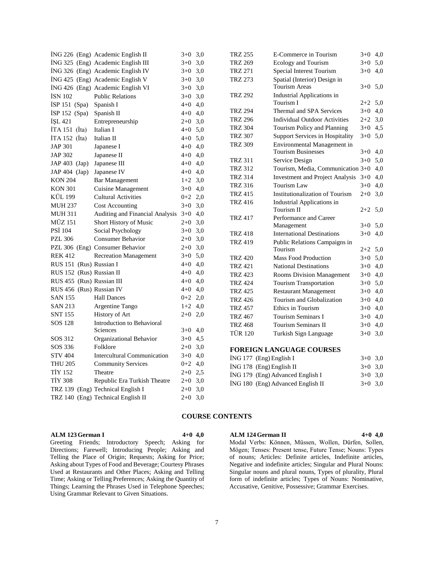|                           | İNG 226 (Eng) Academic English II  | $3+0$ 3,0 | <b>TRZ 255</b>           | E-Commerce in Tourism                   | $3+0$ 4,0 |  |
|---------------------------|------------------------------------|-----------|--------------------------|-----------------------------------------|-----------|--|
|                           | İNG 325 (Eng) Academic English III | $3+0$ 3,0 | <b>TRZ 269</b>           | <b>Ecology and Tourism</b>              | $3+0$ 5,0 |  |
|                           | İNG 326 (Eng) Academic English IV  | $3+0$ 3,0 | <b>TRZ 271</b>           | Special Interest Tourism                | $3+0$ 4,0 |  |
|                           | İNG 425 (Eng) Academic English V   | $3+0$ 3,0 | <b>TRZ 273</b>           | Spatial (Interior) Design in            |           |  |
|                           | İNG 426 (Eng) Academic English VI  | $3+0$ 3,0 |                          | <b>Tourism Areas</b>                    | $3+0$ 5,0 |  |
| <b>İSN 102</b>            | <b>Public Relations</b>            | $3+0$ 3,0 | <b>TRZ 292</b>           | Industrial Applications in              |           |  |
| $ISP 151$ (Spa)           | Spanish I                          | $4+0$ 4,0 |                          | Tourism I                               | $2+2$ 5,0 |  |
| $ISP 152$ (Spa)           | Spanish II                         | $4+0$ 4,0 | <b>TRZ 294</b>           | Thermal and SPA Services                | $3+0$ 4,0 |  |
| İŞL 421                   | Entrepreneurship                   | $2+0$ 3,0 | <b>TRZ 296</b>           | <b>Individual Outdoor Activities</b>    | $2+2$ 3,0 |  |
| $ITA 151$ (Ita)           | Italian I                          | $4+0$ 5,0 | <b>TRZ 304</b>           | Tourism Policy and Planning             | $3+0$ 4.5 |  |
| $ITA 152$ (Ita)           | Italian II                         | $4+0$ 5,0 | <b>TRZ 307</b>           | <b>Support Services in Hospitality</b>  | $3+0$ 5,0 |  |
| <b>JAP 301</b>            | Japanese I                         | $4+0$ 4,0 | <b>TRZ 309</b>           | Environmental Management in             |           |  |
| <b>JAP 302</b>            | Japanese II                        | $4+0$ 4,0 |                          | <b>Tourism Businesses</b>               | $3+0$ 4,0 |  |
| $JAP 403$ (Jap)           | Japanese III                       | $4+0$ 4,0 | <b>TRZ 311</b>           | Service Design                          | $3+0$ 5.0 |  |
| $JAP 404$ $(Jap)$         | Japanese IV                        | $4+0$ 4,0 | <b>TRZ 312</b>           | Tourism, Media, Communication 3+0 4,0   |           |  |
| <b>KON 204</b>            | <b>Bar Management</b>              | $1+2$ 3,0 | <b>TRZ 314</b>           | Investment and Project Analysis 3+0 4,0 |           |  |
| <b>KON 301</b>            | <b>Cuisine Management</b>          | $3+0$ 4,0 | <b>TRZ 316</b>           | Tourism Law                             | $3+0$ 4,0 |  |
| <b>KUL 199</b>            | <b>Cultural Activities</b>         | $0+2$ 2,0 | <b>TRZ 415</b>           | Institutionalization of Tourism         | $2+0$ 3,0 |  |
| <b>MUH 237</b>            | <b>Cost Accounting</b>             | $3+0$ 3.0 | <b>TRZ 416</b>           | Industrial Applications in              |           |  |
| <b>MUH 311</b>            | Auditing and Financial Analysis    | $3+0$ 4,0 |                          | Tourism II                              | $2+2$ 5,0 |  |
| MÜZ 151                   | Short History of Music             | $2+0$ 3.0 | <b>TRZ 417</b>           | Performance and Career<br>Management    | $3+0$ 5,0 |  |
| <b>PSI 104</b>            | Social Psychology                  | $3+0$ 3,0 | <b>TRZ 418</b>           | <b>International Destinations</b>       | $3+0$ 4,0 |  |
| <b>PZL 306</b>            | <b>Consumer Behavior</b>           | $2+0$ 3,0 | <b>TRZ 419</b>           | Public Relations Campaigns in           |           |  |
|                           | PZL 306 (Eng) Consumer Behavior    | $2+0$ 3,0 |                          | Tourism                                 | $2+2$ 5,0 |  |
| <b>REK 412</b>            | <b>Recreation Management</b>       | $3+0$ 5,0 | <b>TRZ 420</b>           | <b>Mass Food Production</b>             | $3+0$ 5,0 |  |
| RUS 151 (Rus) Russian I   |                                    | $4+0$ 4,0 | <b>TRZ 421</b>           | <b>National Destinations</b>            | $3+0$ 4,0 |  |
| RUS 152 (Rus) Russian II  |                                    | $4+0$ 4,0 | <b>TRZ 423</b>           | Rooms Division Management               | $3+0$ 4,0 |  |
| RUS 455 (Rus) Russian III |                                    | $4+0$ 4,0 | <b>TRZ 424</b>           | Tourism Transportation                  | $3+0$ 5,0 |  |
| RUS 456 (Rus) Russian IV  |                                    | $4+0$ 4,0 | <b>TRZ 425</b>           | <b>Restaurant Management</b>            | $3+0$ 4,0 |  |
| <b>SAN 155</b>            | <b>Hall Dances</b>                 | $0+2$ 2,0 | <b>TRZ 426</b>           | Tourism and Globalization               | $3+0$ 4,0 |  |
| <b>SAN 213</b>            | Argentine Tango                    | $1+2$ 4,0 | <b>TRZ 457</b>           | Ethics in Tourism                       | $3+0$ 4,0 |  |
| <b>SNT 155</b>            | <b>History of Art</b>              | $2+0$ 2,0 | <b>TRZ 467</b>           | <b>Tourism Seminars I</b>               | $3+0$ 4,0 |  |
| SOS 128                   | Introduction to Behavioral         |           | <b>TRZ 468</b>           | <b>Tourism Seminars II</b>              | $3+0$ 4,0 |  |
|                           | Sciences                           | $3+0$ 4,0 | <b>TÜR 120</b>           | Turkish Sign Language                   | $3+0$ 3,0 |  |
| SOS 312                   | Organizational Behavior            | $3+0$ 4,5 |                          |                                         |           |  |
| SOS 336                   | Folklore                           | $2+0$ 3,0 |                          | <b>FOREIGN LANGUAGE COURSES</b>         |           |  |
| <b>STV 404</b>            | <b>Intercultural Communication</b> | $3+0$ 4,0 | İNG 177 (Eng) English I  |                                         | $3+0$ 3,0 |  |
| <b>THU 205</b>            | <b>Community Services</b>          | $0+2$ 4,0 | ING 178 (Eng) English II |                                         | $3+0$ 3,0 |  |
| <b>TIY 152</b>            | Theatre                            | $2+0$ 2,5 |                          | İNG 179 (Eng) Advanced English I        | $3+0$ 3,0 |  |
| <b>TİY 308</b>            | Republic Era Turkish Theatre       | $2+0$ 3,0 |                          | İNG 180 (Eng) Advanced English II       | $3+0$ 3,0 |  |
|                           | TRZ 139 (Eng) Technical English I  | $2+0$ 3,0 |                          |                                         |           |  |
|                           | TRZ 140 (Eng) Technical English II | $2+0$ 3,0 |                          |                                         |           |  |

#### **COURSE CONTENTS**

#### **ALM 123 German I 4+0 4,0**

Greeting Friends; Introductory Speech; Asking for Directions; Farewell; Introducing People; Asking and Telling the Place of Origin; Requests; Asking for Price; Asking about Types of Food and Beverage; Courtesy Phrases Used at Restaurants and Other Places; Asking and Telling Time; Asking or Telling Preferences; Asking the Quantity of Things; Learning the Phrases Used in Telephone Speeches; Using Grammar Relevant to Given Situations.

#### **ALM 124 German II 4+0 4,0**

Modal Verbs: Können, Müssen, Wollen, Dürfen, Sollen, Mögen; Tenses: Present tense, Future Tense; Nouns: Types of nouns; Articles: Definite articles, Indefinite articles, Negative and indefinite articles; Singular and Plural Nouns: Singular nouns and plural nouns, Types of plurality, Plural form of indefinite articles; Types of Nouns: Nominative, Accusative, Genitive, Possessive; Grammar Exercises.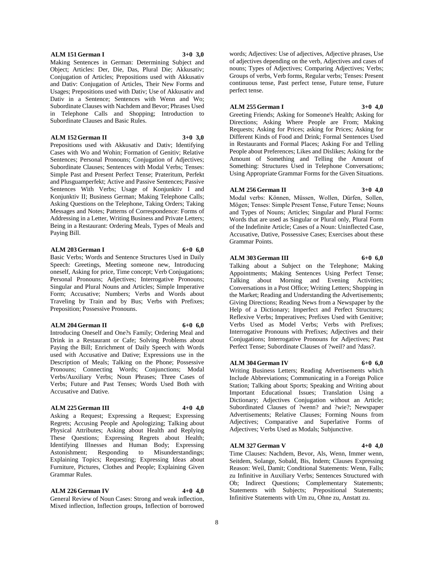#### **ALM 151 German I 3+0 3,0**

Making Sentences in German: Determining Subject and Object; Articles: Der, Die, Das, Plural Die; Akkusativ; Conjugation of Articles; Prepositions used with Akkusativ and Dativ: Conjugation of Articles, Their New Forms and Usages; Prepositions used with Dativ; Use of Akkusativ and Dativ in a Sentence; Sentences with Wenn and Wo; Subordinate Clauses with Nachdem and Bevor; Phrases Used in Telephone Calls and Shopping; Introduction to Subordinate Clauses and Basic Rules.

#### **ALM 152 German II 3+0 3,0**

Prepositions used with Akkusativ and Dativ; Identifying Cases with Wo and Wohin; Formation of Genitiv; Relative Sentences; Personal Pronouns; Conjugation of Adjectives; Subordinate Clauses; Sentences with Modal Verbs; Tenses: Simple Past and Present Perfect Tense; Prateritum, Perfekt and Plusguamperfekt; Active and Passive Sentences; Passive Sentences With Verbs; Usage of Konjunktiv I and Konjunktiv II: Business German; Making Telephone Calls; Asking Questions on the Telephone, Taking Orders; Taking Messages and Notes; Patterns of Correspondence: Forms of Addressing in a Letter, Writing Business and Private Letters; Being in a Restaurant: Ordering Meals, Types of Meals and Paying Bill.

#### **ALM 203 German I 6+0 6,0**

Basic Verbs; Words and Sentence Structures Used in Daily Speech: Greetings, Meeting someone new, Introducing oneself, Asking for price, Time concept; Verb Conjugations; Personal Pronouns; Adjectives; Interrogative Pronouns; Singular and Plural Nouns and Articles; Simple Imperative Form; Accusative; Numbers; Verbs and Words about Traveling by Train and by Bus; Verbs with Prefixes;

#### **ALM 204 German II 6+0 6,0**

Preposition; Possessive Pronouns.

Introducing Oneself and One?s Family; Ordering Meal and Drink in a Restaurant or Cafe; Solving Problems about Paying the Bill; Enrichment of Daily Speech with Words used with Accusative and Dative; Expressions use in the Description of Meals; Talking on the Phone; Possessive Pronouns; Connecting Words; Conjunctions; Modal Verbs/Auxiliary Verbs; Noun Phrases; Three Cases of Verbs; Future and Past Tenses; Words Used Both with Accusative and Dative.

#### **ALM 225 German III 4+0 4,0**

Asking a Request; Expressing a Request; Expressing Regrets; Accusing People and Apologizing; Talking about Physical Attributes; Asking about Health and Replying These Questions; Expressing Regrets about Health; Identifying Illnesses and Human Body; Expressing Astonishment; Responding to Misunderstandings; Explaining Topics; Requesting; Expressing Ideas about Furniture, Pictures, Clothes and People; Explaining Given Grammar Rules.

# **ALM 226 German IV 4+0 4,0**

General Review of Noun Cases: Strong and weak inflection, Mixed inflection, Inflection groups, Inflection of borrowed

words; Adjectives: Use of adjectives, Adjective phrases, Use of adjectives depending on the verb, Adjectives and cases of nouns; Types of Adjectives; Comparing Adjectives; Verbs; Groups of verbs, Verb forms, Regular verbs; Tenses: Present continuous tense, Past perfect tense, Future tense, Future perfect tense.

#### **ALM 255 German I 3+0 4,0**

Greeting Friends; Asking for Someone's Health; Asking for Directions; Asking Where People are From; Making Requests; Asking for Prices; asking for Prices; Asking for Different Kinds of Food and Drink; Formal Sentences Used in Restaurants and Formal Places; Asking For and Telling People about Preferences; Likes and Dislikes; Asking for the Amount of Something and Telling the Amount of Something: Structures Used in Telephone Conversations; Using Appropriate Grammar Forms for the Given Situations.

#### **ALM 256 German II 3+0 4,0**

Modal verbs: Können, Müssen, Wollen, Dürfen, Sollen, Mögen; Tenses: Simple Present Tense, Future Tense; Nouns and Types of Nouns; Articles; Singular and Plural Forms: Words that are used as Singular or Plural only, Plural Form of the Indefinite Article; Cases of a Noun: Uninflected Case, Accusative, Dative, Possessive Cases; Exercises about these Grammar Points.

#### **ALM 303 German III 6+0 6,0**

Talking about a Subject on the Telephone; Making Appointments; Making Sentences Using Perfect Tense; Talking about Morning and Evening Activities; Conversations in a Post Office; Writing Letters; Shopping in the Market; Reading and Understanding the Advertisements; Giving Directions; Reading News from a Newspaper by the Help of a Dictionary; Imperfect and Perfect Structures; Reflexive Verbs; Imperatives; Prefixes Used with Genitive; Verbs Used as Model Verbs; Verbs with Prefixes; Interrogative Pronouns with Prefixes; Adjectives and their Conjugations; Interrogative Pronouns for Adjectives; Past Perfect Tense; Subordinate Clauses of ?weil? and ?dass?.

#### **ALM 304 German IV 6+0 6,0**

Writing Business Letters; Reading Advertisements which Include Abbreviations; Communicating in a Foreign Police Station; Talking about Sports; Speaking and Writing about Important Educational Issues; Translation Using a Dictionary; Adjectives Conjugation without an Article; Subordinated Clauses of ?wenn? and ?wie?; Newspaper Advertisements; Relative Clauses; Forming Nouns from Adjectives; Comparative and Superlative Forms of Adjectives; Verbs Used as Modals; Subjunctive.

#### **ALM 327 German V 4+0 4,0**

Time Clauses: Nachdem, Bevor, Als, Wenn, Immer wenn, Seitdem, Solange, Sobald, Bis, Indem; Clauses Expressing Reason: Weil, Damit; Conditional Statements: Wenn, Falls; zu Infinitive in Auxiliary Verbs; Sentences Structured with Ob; Indirect Questions; Complementary Statements; Statements with Subjects; Prepositional Statements; Infinitive Statements with Um zu, Ohne zu, Anstatt zu.

8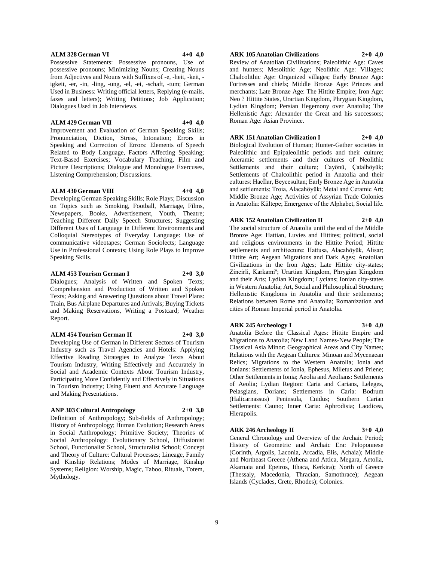#### **ALM 328 German VI 4+0 4,0**

Possessive Statements: Possessive pronouns, Use of possessive pronouns; Minimizing Nouns; Creating Nouns from Adjectives and Nouns with Suffixes of -e, -heit, -keit, igkeit, -er, -in, -ling, -ung, -el, -ei, -schaft, -tum; German Used in Business: Writing official letters, Replying (e-mails, faxes and letters); Writing Petitions; Job Application; Dialogues Used in Job Interviews.

#### **ALM 429 German VII 4+0 4,0**

Improvement and Evaluation of German Speaking Skills; Pronunciation, Diction, Stress, Intonation; Errors in Speaking and Correction of Errors: Elements of Speech Related to Body Language, Factors Affecting Speaking; Text-Based Exercises; Vocabulary Teaching, Film and Picture Descriptions; Dialogue and Monologue Exercuses, Listening Comprehension; Discussions.

#### **ALM 430 German VIII 4+0 4,0**

Developing German Speaking Skills; Role Plays; Discussion on Topics such as Smoking, Football, Marriage, Films, Newspapers, Books, Advertisement, Youth, Theatre; Teaching Different Daily Speech Structures; Suggesting Different Uses of Language in Different Environments and Colloquial Stereotypes of Everyday Language: Use of communicative videotapes; German Sociolects; Language Use in Professional Contexts; Using Role Plays to Improve Speaking Skills.

#### **ALM 453 Tourism German I 2+0 3,0**

Dialogues; Analysis of Written and Spoken Texts; Comprehension and Production of Written and Spoken Texts; Asking and Answering Questions about Travel Plans: Train, Bus Airplane Departures and Arrivals; Buying Tickets and Making Reservations, Writing a Postcard; Weather Report.

#### **ALM 454 Tourism German II 2+0 3,0**

Developing Use of German in Different Sectors of Tourism Industry such as Travel Agencies and Hotels: Applying Effective Reading Strategies to Analyze Texts About Tourism Industry, Writing Effectively and Accurately in Social and Academic Contexts About Tourism Industry, Participating More Confidently and Effectively in Situations in Tourism Industry; Using Fluent and Accurate Language and Making Presentations.

#### **ANP 303 Cultural Antropology 2+0 3,0**

Definition of Anthropology; Sub-fields of Anthropology; History of Anthropology; Human Evolution; Research Areas in Social Anthropology; Primitive Society; Theories of Social Anthropology: Evolutionary School, Diffusionist School, Functionalist School, Structuralist School; Concept and Theory of Culture: Cultural Processes; Lineage, Family and Kinship Relations; Modes of Marriage, Kinship Systems; Religion: Worship, Magic, Taboo, Rituals, Totem, Mythology.

#### **ARK 105 Anatolian Civilizations 2+0 4,0**

Review of Anatolian Civilizations; Paleolithic Age: Caves and hunters; Mesolithic Age; Neolithic Age: Villages; Chalcolithic Age: Organized villages; Early Bronze Age: Fortresses and chiefs; Middle Bronze Age: Princes and merchants; Late Bronze Age: The Hittite Empire; Iron Age: Neo ? Hittite States, Urartian Kingdom, Phrygian Kingdom, Lydian Kingdom; Persian Hegemony over Anatolia; The Hellenistic Age: Alexander the Great and his successors; Roman Age: Asian Province.

#### **ARK 151 Anatolian Civilization I 2+0 4,0**

Biological Evolution of Human; Hunter-Gather societies in Paleolithic and Epipaleolithic periods and their culture; Aceramic settlements and their cultures of Neolithic Settlements and their culture; Cayönü, Çatalhöyük; Settlements of Chalcolithic period in Anatolia and their cultures: Hacİlar, Beycesultan; Early Bronze Age in Anatolia and settlements; Troia, Alacahöyük; Metal and Ceramic Art; Middle Bronze Age; Activities of Assyrian Trade Colonies in Anatolia: Kültepe; Emergence of the Alphabet, Social life.

# **ARK 152 Anatolian Civilization II 2+0 4,0**

The social structure of Anatolia until the end of the Middle Bronze Age: Hattian, Luvies and Hittites; political, social and religious environments in the Hittite Period; Hittite settlements and architecture: Hattusa, Alacahöyük, Alisar; Hittite Art; Aegean Migrations and Dark Ages; Anatolian Civilizations in the Iron Ages; Late Hittite city-states; Zincirli, Karkamiº; Urartian Kingdom, Phrygian Kingdom and their Arts; Lydian Kingdom; Lycians; Ionian city-states in Western Anatolia; Art, Social and Philosophical Structure; Hellenistic Kingdoms in Anatolia and their settlements; Relations between Rome and Anatolia; Romanization and cities of Roman Imperial period in Anatolia.

# **ARK 245 Archeology I 3+0 4,0**

Anatolia Before the Classical Ages: Hittite Empire and Migrations to Anatolia; New Land Names-New People; The Classical Asia Minor: Geographical Areas and City Names; Relations with the Aegean Cultures: Minoan and Mycenaean Relics; Migrations to the Western Anatolia; Ionia and Ionians: Settlements of Ionia, Ephesus, Miletus and Priene; Other Settlements in Ionia; Aeolia and Aeolians: Settlements of Aeolia; Lydian Region: Caria and Carians, Leleges, Pelasgians, Dorians; Settlements in Caria: Bodrum (Halicarnassus) Peninsula, Cnidus; Southern Carian Settlements: Cauno; Inner Caria: Aphrodisia; Laodicea, Hierapolis.

#### **ARK 246 Archeology II 3+0 4,0**

General Chronology and Overview of the Archaic Period; History of Geometric and Archaic Era: Peloponnese (Corinth, Argolis, Laconia, Arcadia, Elis, Achaia); Middle and Northeast Greece (Athena and Attica, Megara, Aetolia, Akarnaia and Epeiros, Ithaca, Kerkira); North of Greece (Thessaly, Macedonia, Thracian, Samothrace); Aegean Islands (Cyclades, Crete, Rhodes); Colonies.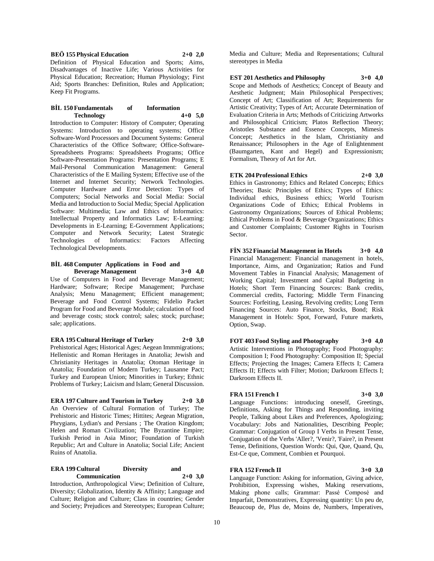**BEÖ 155 Physical Education 2+0 2,0**

Definition of Physical Education and Sports; Aims, Disadvantages of Inactive Life; Various Activities for Physical Education; Recreation; Human Physiology; First Aid; Sports Branches: Definition, Rules and Application; Keep Fit Programs.

#### **BİL 150 Fundamentals of Information Technology 4+0 5,0**

Introduction to Computer: History of Computer; Operating Systems: Introduction to operating systems; Office Software-Word Processors and Document Systems: General Characteristics of the Office Software; Office-Software-Spreadsheets Programs: Spreadsheets Programs; Office Software-Presentation Programs: Presentation Programs; E Mail-Personal Communication Management: General Characteristics of the E Mailing System; Effective use of the Internet and Internet Security; Network Technologies. Computer Hardware and Error Detection: Types of Computers; Social Networks and Social Media: Social Media and Introduction to Social Media; Special Application Software: Multimedia; Law and Ethics of Informatics: Intellectual Property and Informatics Law; E-Learning: Developments in E-Learning; E-Government Applications; Computer and Network Security; Latest Strategic Technologies of Informatics: Factors Affecting Technological Developments.

#### **BİL 468 Computer Applications in Food and Beverage Management 3+0 4,0**

Use of Computers in Food and Beverage Management; Hardware; Software; Recipe Management; Purchase Analysis; Menu Management; Efficient management; Beverage and Food Control Systems; Fidelio Packet Program for Food and Beverage Module; calculation of food and beverage costs; stock control; sales; stock; purchase; sale; applications.

# **ERA 195 Cultural Heritage of Turkey 2+0 3,0**

Prehistorical Ages; Historical Ages; Aegean Immmigrations; Hellenistic and Roman Heritages in Anatolia; Jewish and Christianity Heritages in Anatolia; Otoman Heritage in Anatolia; Foundation of Modern Turkey; Lausanne Pact; Turkey and European Union; Minorities in Turkey; Ethnic Problems of Turkey; Laicism and Islam; General Discussion.

# **ERA 197 Culture and Tourism in Turkey 2+0 3,0**

An Overview of Cultural Formation of Turkey; The Prehistoric and Historic Times; Hittites; Aegean Migration, Phrygians, Lydian's and Persians ; The Oration Kingdom; Helen and Roman Civilization; The Byzantine Empire; Turkish Period in Asia Minor; Foundation of Turkish Republic; Art and Culture in Anatolia; Social Life; Ancient Ruins of Anatolia.

# **ERA 199 Cultural Diversity and Communication 2+0 3,0**

Introduction, Anthropological View; Definition of Culture, Diversity; Globalization, Identity & Affinity; Language and Culture; Religion and Culture; Class in countries; Gender and Society; Prejudices and Stereotypes; European Culture;

Media and Culture; Media and Representations; Cultural stereotypes in Media

# **EST 201 Aesthetics and Philosophy 3+0 4,0** Scope and Methods of Aesthetics; Concept of Beauty and Aesthetic Judgment; Main Philosophical Perspectives;

Concept of Art; Classification of Art; Requirements for Artistic Creativity; Types of Art; Accurate Determination of Evaluation Criteria in Arts; Methods of Criticizing Artworks and Philosophical Criticism; Platos Reflection Theory; Aristotles Substance and Essence Concepts, Mimesis Concept; Aesthetics in the Islam, Christianity and Renaissance; Philosophers in the Age of Enlightenment (Baumgarten, Kant and Hegel) and Expressionism; Formalism, Theory of Art for Art.

# **ETK 204 Professional Ethics 2+0 3,0**

Ethics in Gastronomy; Ethics and Related Concepts; Ethics Theories; Basic Principles of Ethics; Types of Ethics: Individual ethics, Business ethics; World Tourism Organizations Code of Ethics; Ethical Problems in Gastronomy Organizations; Sources of Ethical Problems; Ethical Problems in Food & Beverage Organizations; Ethics and Customer Complaints; Customer Rights in Tourism Sector.

**FİN 352 Financial Management in Hotels 3+0 4,0** Financial Management: Financial management in hotels, Importance, Aims, and Organization; Ratios and Fund Movement Tables in Financial Analysis; Management of Working Capital; Investment and Capital Budgeting in Hotels; Short Term Financing Sources: Bank credits, Commercial credits, Factoring; Middle Term Financing Sources: Forfeiting, Leasing, Revolving credits; Long Term Financing Sources: Auto Finance, Stocks, Bond; Risk Management in Hotels: Spot, Forward, Future markets, Option, Swap.

**FOT 403 Food Styling and Photography 3+0 4,0** Artistic Interventions in Photography; Food Photography: Composition I; Food Photography: Composition II; Special Effects; Projecting the Images; Camera Effects I; Camera Effects II; Effects with Filter; Motion; Darkroom Effects I; Darkroom Effects II.

#### **FRA 151 French I 3+0 3,0** Language Functions: introducing oneself, Greetings,

Definitions, Asking for Things and Responding, inviting People, Talking about Likes and Preferences, Apologizing; Vocabulary: Jobs and Nationalities, Describing People; Grammar: Conjugation of Group I Verbs in Present Tense, Conjugation of the Verbs 'Aller?, 'Venir?, 'Faire?, in Present Tense, Definitions, Question Words: Qui, Que, Quand, Qu, Est-Ce que, Comment, Combien et Pourquoi.

# **FRA 152 French II 3+0 3,0**

Language Function: Asking for information, Giving advice, Prohibition, Expressing wishes, Making reservations, Making phone calls; Grammar: Passé Composé and Imparfait, Demonstratives, Expressing quantity: Un peu de, Beaucoup de, Plus de, Moins de, Numbers, Imperatives,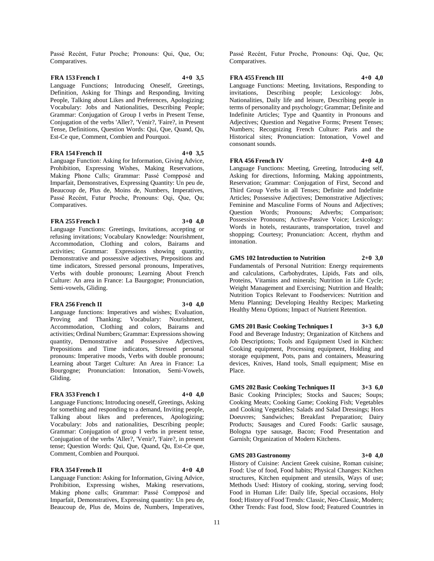## **FRA 153 French I 4+0 3,5**

Language Functions; Introducing Oneself, Greetings, Definition, Asking for Things and Responding, Inviting People, Talking about Likes and Preferences, Apologizing; Vocabulary: Jobs and Nationalities, Describing People; Grammar: Conjugation of Group I verbs in Present Tense, Conjugation of the verbs 'Aller?, 'Venir?, 'Faire?, in Present Tense, Definitions, Question Words: Qui, Que, Quand, Qu, Est-Ce que, Comment, Combien and Pourquoi.

#### **FRA 154 French II 4+0 3,5**

Language Function: Asking for Information, Giving Advice, Prohibition, Expressing Wishes, Making Reservations, Making Phone Calls; Grammar: Passé Compposé and Imparfait, Demonstratives, Expressing Quantity: Un peu de, Beaucoup de, Plus de, Moins de, Numbers, Imperatives, Passé Recént, Futur Proche, Pronouns: Oqi, Que, Qu; Comparatives.

#### **FRA 255 French I 3+0 4,0**

Language Functions: Greetings, Invitations, accepting or refusing invitations; Vocabulary Knowledge: Nourishment, Accommodation, Clothing and colors, Bairams and activities; Grammar: Expressions showing quantity, Demonstrative and possessive adjectives, Prepositions and time indicators, Stressed personal pronouns, Imperatives, Verbs with double pronouns; Learning About French Culture: An area in France: La Baurgogne; Pronunciation, Semi-vowels, Gliding.

#### **FRA 256 French II 3+0 4,0**

Language functions: Imperatives and wishes; Evaluation, Proving and Thanking; Vocabulary: Nourishment, Accommodation, Clothing and colors, Bairams and activities; Ordinal Numbers; Grammar: Expressions showing quantity, Demonstrative and Possessive Adjectives, Prepositions and Time indicators, Stressed personal pronouns: Imperative moods, Verbs with double pronouns; Learning about Target Culture: An Area in France: La Bourgogne; Pronunciation: Intonation, Semi-Vowels, Gliding.

#### **FRA 353 French I 4+0 4,0**

Language Functions; Introducing oneself, Greetings, Asking for something and responding to a demand, Inviting people, Talking about likes and preferences, Apologizing; Vocabulary: Jobs and nationalities, Describing people; Grammar: Conjugation of group I verbs in present tense, Conjugation of the verbs 'Aller?, 'Venir?, 'Faire?, in present tense; Question Words: Qui, Que, Quand, Qu, Est-Ce que, Comment, Combien and Pourquoi.

## **FRA 354 French II 4+0 4,0**

Language Function: Asking for Information, Giving Advice, Prohibition, Expressing wishes, Making reservations, Making phone calls; Grammar: Passé Compposé and Imparfait, Demonstratives, Expressing quantity: Un peu de, Beaucoup de, Plus de, Moins de, Numbers, Imperatives,

Passé Recént, Futur Proche, Pronouns: Oqi, Que, Qu; Comparatives.

#### **FRA 455 French III 4+0 4,0**

Language Functions: Meeting, Invitations, Responding to invitations, Describing people; Lexicology: Jobs, Nationalities, Daily life and leisure, Describing people in terms of personality and psychology; Grammar; Definite and Indefinite Articles; Type and Quantity in Pronouns and Adjectives; Question and Negative Forms; Present Tenses; Numbers; Recognizing French Culture: Paris and the Historical sites; Pronunciation: Intonation, Vowel and consonant sounds.

#### **FRA 456 French IV 4+0 4,0**

Language Functions: Meeting, Greeting, Introducing self, Asking for directions, Informing, Making appointments, Reservation; Grammar: Conjugation of First, Second and Third Group Verbs in all Tenses; Definite and Indefinite Articles; Possessive Adjectives; Demonstrative Adjectives; Feminine and Masculine Forms of Nouns and Adjectives; Question Words; Pronouns; Adverbs; Comparison; Possessive Pronouns; Active-Passive Voice; Lexicology: Words in hotels, restaurants, transportation, travel and shopping; Courtesy; Pronunciation: Accent, rhythm and intonation.

#### **GMS 102 Introduction to Nutrition 2+0 3,0**

Fundamentals of Personal Nutrition: Energy requirements and calculations, Carbohydrates, Lipids, Fats and oils, Proteins, Vitamins and minerals; Nutrition in Life Cycle; Weight Management and Exercising; Nutrition and Health; Nutrition Topics Relevant to Foodservices: Nutrition and Menu Planning; Developing Healthy Recipes; Marketing Healthy Menu Options; Impact of Nutrient Retention.

# **GMS 201 Basic Cooking Techniques I 3+3 6,0**

Food and Beverage Industry; Organization of Kitchens and Job Descriptions; Tools and Equipment Used in Kitchen: Cooking equipment, Processing equipment, Holding and storage equipment, Pots, pans and containers, Measuring devices, Knives, Hand tools, Small equipment; Mise en Place.

#### **GMS 202 Basic Cooking Techniques II 3+3 6,0** Basic Cooking Principles; Stocks and Sauces; Soups; Cooking Meats; Cooking Game; Cooking Fish; Vegetables and Cooking Vegetables; Salads and Salad Dressings; Hors Doeuvres; Sandwiches; Breakfast Preparation; Dairy Products; Sausages and Cured Foods: Garlic sausage, Bologna type sausage, Bacon; Food Presentation and Garnish; Organization of Modern Kitchens.

## **GMS 203 Gastronomy 3+0 4,0**

History of Cuisine: Ancient Greek cuisine, Roman cuisine; Food: Use of food, Food habits; Physical Changes: Kitchen structures, Kitchen equipment and utensils, Ways of use; Methods Used: History of cooking, storing, serving food; Food in Human Life: Daily life, Special occasions, Holy food; History of Food Trends: Classic, Neo-Classic, Modern; Other Trends: Fast food, Slow food; Featured Countries in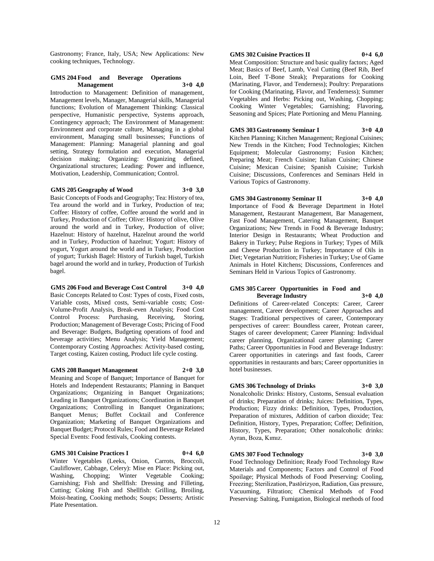Gastronomy; France, Italy, USA; New Applications: New cooking techniques, Technology.

#### **GMS 204 Food and Beverage Operations Management 3+0 4,0**

Introduction to Management: Definition of management, Management levels, Manager, Managerial skills, Managerial functions; Evolution of Management Thinking: Classical perspective, Humanistic perspective, Systems approach, Contingency approach; The Environment of Management: Environment and corporate culture, Managing in a global environment, Managing small businesses; Functions of Management: Planning: Managerial planning and goal setting, Strategy formulation and execution, Managerial decision making; Organizing: Organizing defined, Organizational structures; Leading: Power and influence, Motivation, Leadership, Communication; Control.

#### **GMS 205 Geography of Wood 3+0 3,0**

Basic Concepts of Foods and Geography; Tea: History of tea, Tea around the world and in Turkey, Production of tea; Coffee: History of coffee, Coffee around the world and in Turkey, Production of Coffee; Olive: History of olive, Olive around the world and in Turkey, Production of olive; Hazelnut: History of hazelnut, Hazelnut around the world and in Turkey, Production of hazelnut; Yogurt: History of yogurt, Yogurt around the world and in Turkey, Production of yogurt; Turkish Bagel: History of Turkish bagel, Turkish bagel around the world and in turkey, Production of Turkish bagel.

**GMS 206 Food and Beverage Cost Control 3+0 4,0** Basic Concepts Related to Cost: Types of costs, Fixed costs, Variable costs, Mixed costs, Semi-variable costs; Cost-Volume-Profit Analysis, Break-even Analysis; Food Cost Control Process: Purchasing, Receiving, Storing, Production; Management of Beverage Costs; Pricing of Food and Beverage: Budgets, Budgeting operations of food and beverage activities; Menu Analysis; Yield Management; Contemporary Costing Approaches: Activity-based costing, Target costing, Kaizen costing, Product life cycle costing.

#### **GMS 208 Banquet Management 2+0 3,0**

Meaning and Scope of Banquet; Importance of Banquet for Hotels and Independent Restaurants; Planning in Banquet Organizations; Organizing in Banquet Organizations; Leading in Banquet Organizations; Coordination in Banquet Organizations; Controlling in Banquet Organizations; Banquet Menus; Buffet Cocktail and Conference Organization; Marketing of Banquet Organizations and Banquet Budget; Protocol Rules; Food and Beverage Related Special Events: Food festivals, Cooking contests.

## **GMS 301 Cuisine Practices I 0+4 6,0**

Winter Vegetables (Leeks, Onion, Carrots, Broccoli, Cauliflower, Cabbage, Celery): Mise en Place: Picking out,<br>Washing, Chopping; Winter Vegetable Cooking; Washing, Chopping; Winter Vegetable Garnishing; Fish and Shellfish: Dressing and Filleting, Cutting; Coking Fish and Shellfish: Grilling, Broiling, Moist-heating, Cooking methods; Soups; Desserts; Artistic Plate Presentation.

#### **GMS 302 Cuisine Practices II 0+4 6,0**

Meat Composition: Structure and basic quality factors; Aged Meat; Basics of Beef, Lamb, Veal Cutting (Beef Rib, Beef Loin, Beef T-Bone Steak); Preparations for Cooking (Marinating, Flavor, and Tenderness); Poultry: Preparations for Cooking (Marinating, Flavor, and Tenderness); Summer Vegetables and Herbs: Picking out, Washing, Chopping; Cooking Winter Vegetables; Garnishing; Flavoring, Seasoning and Spices; Plate Portioning and Menu Planning.

#### **GMS 303 Gastronomy Seminar I 3+0 4,0**

Kitchen Planning; Kitchen Management; Regional Cuisines; New Trends in the Kitchen; Food Technologies; Kitchen Equipment; Molecular Gastronomy; Fusion Kitchen; Preparing Meat; French Cuisine; Italian Cuisine; Chinese Cuisine; Mexican Cuisine; Spanish Cuisine; Turkish Cuisine; Discussions, Conferences and Seminars Held in Various Topics of Gastronomy.

#### **GMS 304 Gastronomy Seminar II 3+0 4,0**

Importance of Food & Beverage Department in Hotel Management, Restaurant Management, Bar Management, Fast Food Management, Catering Management, Banquet Organizations; New Trends in Food & Beverage Industry; Interior Design in Restaurants; Wheat Production and Bakery in Turkey; Pulse Regions in Turkey; Types of Milk and Cheese Production in Turkey; Importance of Oils in Diet; Vegetarian Nutrition; Fisheries in Turkey; Use of Game Animals in Hotel Kitchens; Discussions, Conferences and Seminars Held in Various Topics of Gastronomy.

#### **GMS 305 Career Opportunities in Food and Beverage Industry 3+0 4,0**

Definitions of Career-related Concepts: Career, Career management, Career development; Career Approaches and Stages: Traditional perspectives of career, Contemporary perspectives of career: Boundless career, Protean career, Stages of career development; Career Planning: Individual career planning, Organizational career planning; Career Paths; Career Opportunities in Food and Beverage Industry: Career opportunities in caterings and fast foods, Career opportunities in restaurants and bars; Career opportunities in hotel businesses.

#### **GMS 306 Technology of Drinks 3+0 3,0**

Nonalcoholic Drinks: History, Customs, Sensual evaluation of drinks; Preparation of drinks; Juices: Definition, Types, Production; Fizzy drinks: Definition, Types, Production, Preparation of mixtures, Addition of carbon dioxide; Tea: Definition, History, Types, Preparation; Coffee; Definition, History, Types, Preparation; Other nonalcoholic drinks: Ayran, Boza, Kımız.

#### **GMS 307 Food Technology 3+0 3,0**

Food Technology Definition; Ready Food Technology Raw Materials and Components; Factors and Control of Food Spoilage; Physical Methods of Food Preserving: Cooling, Freezing; Sterilization, Pastörizyon, Radiation, Gas pressure, Vacuuming, Filtration; Chemical Methods of Food Preserving: Salting, Fumigation, Biological methods of food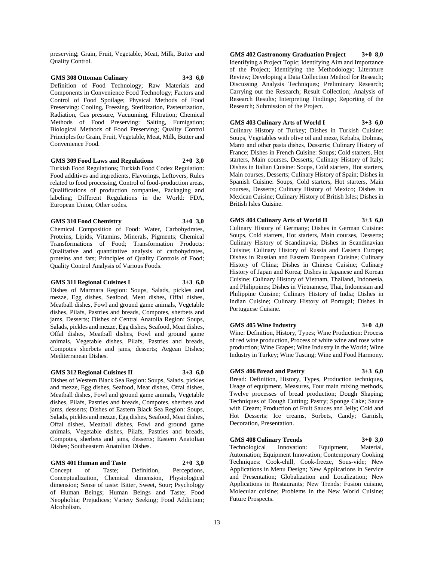preserving; Grain, Fruit, Vegetable, Meat, Milk, Butter and Quality Control.

**GMS 308 Ottoman Culinary 3+3 6,0** Definition of Food Technology; Raw Materials and Components in Convenience Food Technology; Factors and Control of Food Spoilage; Physical Methods of Food Preserving: Cooling, Freezing, Sterilization, Pasteurization, Radiation, Gas pressure, Vacuuming, Filtration; Chemical Methods of Food Preserving: Salting, Fumigation; Biological Methods of Food Preserving; Quality Control Principles for Grain, Fruit, Vegetable, Meat, Milk, Butter and Convenience Food.

**GMS 309 Food Laws and Regulations 2+0 3,0**

Turkish Food Regulations; Turkish Food Codex Regulation: Food additives and ingredients, Flavorings, Leftovers, Rules related to food processing, Control of food-production areas, Qualifications of production companies, Packaging and labeling; Different Regulations in the World: FDA, European Union, Other codes.

**GMS 310 Food Chemistry 3+0 3,0** Chemical Composition of Food: Water, Carbohydrates, Proteins, Lipids, Vitamins, Minerals, Pigments; Chemical Transformations of Food; Transformation Products: Qualitative and quantitative analysis of carbohydrates, proteins and fats; Principles of Quality Controls of Food; Quality Control Analysis of Various Foods.

#### **GMS 311 Regional Cuisines I 3+3 6,0**

Dishes of Marmara Region: Soups, Salads, pickles and mezze, Egg dishes, Seafood, Meat dishes, Offal dishes, Meatball dishes, Fowl and ground game animals, Vegetable dishes, Pilafs, Pastries and breads, Compotes, sherbets and jams, Desserts; Dishes of Central Anatolia Region: Soups, Salads, pickles and mezze, Egg dishes, Seafood, Meat dishes, Offal dishes, Meatball dishes, Fowl and ground game animals, Vegetable dishes, Pilafs, Pastries and breads, Compotes sherbets and jams, desserts; Aegean Dishes; Mediterranean Dishes.

#### **GMS 312 Regional Cuisines II 3+3 6,0**

Dishes of Western Black Sea Region: Soups, Salads, pickles and mezze, Egg dishes, Seafood, Meat dishes, Offal dishes, Meatball dishes, Fowl and ground game animals, Vegetable dishes, Pilafs, Pastries and breads, Compotes, sherbets and jams, desserts; Dishes of Eastern Black Sea Region: Soups, Salads, pickles and mezze, Egg dishes, Seafood, Meat dishes, Offal dishes, Meatball dishes, Fowl and ground game animals, Vegetable dishes, Pilafs, Pastries and breads, Compotes, sherbets and jams, desserts; Eastern Anatolian Dishes; Southeastern Anatolian Dishes.

#### **GMS 401 Human and Taste 2+0 3,0**

Concept of Taste; Definition, Perceptions, Conceptualization, Chemical dimension, Physiological dimension; Sense of taste: Bitter, Sweet, Sour; Psychology of Human Beings; Human Beings and Taste; Food Neophobia; Prejudices; Variety Seeking; Food Addiction; Alcoholism.

**GMS 402 Gastronomy Graduation Project 3+0 8,0** Identifying a Project Topic; Identifying Aim and Importance of the Project; Identifying the Methodology; Literature Review; Developing a Data Collection Method for Reseach; Discussing Analysis Techniques; Preliminary Research; Carrying out the Research; Result Collection; Analysis of Research Results; Interpreting Findings; Reporting of the Research; Submission of the Project.

#### **GMS 403 Culinary Arts of World I 3+3 6,0**

Culinary History of Turkey; Dishes in Turkish Cuisine: Soups, Vegetables with olive oil and meze, Kebabs, Dolmas, Mantı and other pasta dishes, Desserts; Culinary History of France; Dishes in French Cuisine: Soups; Cold starters, Hot starters, Main courses, Desserts; Culinary History of Italy; Dishes in Italian Cuisine: Soups, Cold starters, Hot starters, Main courses, Desserts; Culinary History of Spain; Dishes in Spanish Cuisine: Soups, Cold starters, Hot starters, Main courses, Desserts; Culinary History of Mexico; Dishes in Mexican Cuisine; Culinary History of British Isles; Dishes in British Isles Cuisine.

**GMS 404 Culinary Arts of World II 3+3 6,0** Culinary History of Germany; Dishes in German Cuisine: Soups, Cold starters, Hot starters, Main courses, Desserts; Culinary History of Scandinavia; Dishes in Scandinavian Cuisine; Culinary History of Russia and Eastern Europe; Dishes in Russian and Eastern European Cuisine; Culinary History of China; Dishes in Chinese Cuisine; Culinary History of Japan and Korea; Dishes in Japanese and Korean Cuisine; Culinary History of Vietnam, Thailand, Indonesia, and Philippines; Dishes in Vietnamese, Thai, Indonesian and Philippine Cuisine; Culinary History of India; Dishes in Indian Cuisine; Culinary History of Portugal; Dishes in Portuguese Cuisine.

#### **GMS 405 Wine Industry 3+0 4,0**

Wine: Definition, History, Types; Wine Production: Process of red wine production, Process of white wine and rose wine production; Wine Grapes; Wine Industry in the World; Wine Industry in Turkey; Wine Tasting; Wine and Food Harmony.

#### **GMS 406 Bread and Pastry 3+3 6,0**

Bread: Definition, History, Types, Production techniques, Usage of equipment, Measures, Four main mixing methods, Twelve processes of bread production; Dough Shaping; Techniques of Dough Cutting; Pastry; Sponge Cake; Sauce with Cream; Production of Fruit Sauces and Jelly; Cold and Hot Desserts: Ice creams, Sorbets, Candy; Garnish, Decoration, Presentation.

**GMS 408 Culinary Trends 3+0 3,0**

Technological Innovation: Equipment, Material, Automation; Equipment Innovation; Contemporary Cooking Techniques: Cook-chill, Cook-freeze, Sous-vide; New Applications in Menu Design; New Applications in Service and Presentation; Globalization and Localization; New Applications in Restaurants; New Trends: Fusion cuisine, Molecular cuisine; Problems in the New World Cuisine; Future Prospects.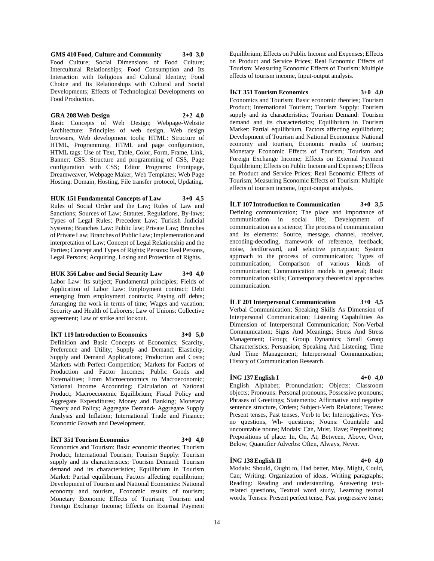**GMS 410 Food, Culture and Community 3+0 3,0** Food Culture; Social Dimensions of Food Culture; Intercultural Relationships; Food Consumption and Its Interaction with Religious and Cultural Identity; Food Choice and Its Relationships with Cultural and Social Developments; Effects of Technological Developments on Food Production.

#### **GRA 208 Web Design 2+2 4,0**

Basic Concepts of Web Design; Webpage-Website Architecture: Principles of web design, Web design browsers, Web development tools; HTML: Structure of HTML, Programming, HTML and page configuration, HTML tags: Use of Text, Table, Color, Form, Frame, Link, Banner; CSS: Structure and programming of CSS, Page configuration with CSS; Editor Programs: Frontpage, Dreamweaver, Webpage Maker, Web Templates; Web Page Hosting: Domain, Hosting, File transfer protocol, Updating.

**HUK 151 Fundamental Concepts of Law 3+0 4,5** Rules of Social Order and the Law; Rules of Law and Sanctions; Sources of Law; Statutes, Regulations, By-laws; Types of Legal Rules; Precedent Law; Turkish Judicial Systems; Branches Law: Public law; Private Law; Branches of Private Law; Branches of Public Law; Implementation and interpretation of Law; Concept of Legal Relationship and the Parties; Concept and Types of Rights; Persons: Real Persons, Legal Persons; Acquiring, Losing and Protection of Rights.

**HUK 356 Labor and Social Security Law 3+0 4,0** Labor Law: Its subject; Fundamental principles; Fields of Application of Labor Law: Employment contract; Debt emerging from employment contracts; Paying off debts; Arranging the work in terms of time; Wages and vacation; Security and Health of Laborers; Law of Unions: Collective agreement; Law of strike and lockout.

**İKT 119 Introduction to Economics 3+0 5,0**

Definition and Basic Concepts of Economics; Scarcity, Preference and Utility; Supply and Demand; Elasticity; Supply and Demand Applications; Production and Costs; Markets with Perfect Competition; Markets for Factors of Production and Factor Incomes; Public Goods and Externalities; From Microeconomics to Macroeconomic; National Income Accounting; Calculation of National Product; Macroeconomic Equilibrium; Fiscal Policy and Aggregate Expenditures; Money and Banking; Monetary Theory and Policy; Aggregate Demand- Aggregate Supply Analysis and Inflation; International Trade and Finance; Economic Growth and Development.

#### **İKT 351 Tourism Economics 3+0 4,0**

Economics and Tourism: Basic economic theories; Tourism Product; International Tourism; Tourism Supply: Tourism supply and its characteristics; Tourism Demand: Tourism demand and its characteristics; Equilibrium in Tourism Market: Partial equilibrium, Factors affecting equilibrium; Development of Tourism and National Economies: National economy and tourism, Economic results of tourism; Monetary Economic Effects of Tourism; Tourism and Foreign Exchange Income; Effects on External Payment

Equilibrium; Effects on Public Income and Expenses; Effects on Product and Service Prices; Real Economic Effects of Tourism; Measuring Economic Effects of Tourism: Multiple effects of tourism income, Input-output analysis.

**İKT 351 Tourism Economics 3+0 4,0**

Economics and Tourism: Basic economic theories; Tourism Product; International Tourism; Tourism Supply: Tourism supply and its characteristics; Tourism Demand: Tourism demand and its characteristics; Equilibrium in Tourism Market: Partial equilibrium, Factors affecting equilibrium; Development of Tourism and National Economies: National economy and tourism, Economic results of tourism; Monetary Economic Effects of Tourism; Tourism and Foreign Exchange Income; Effects on External Payment Equilibrium; Effects on Public Income and Expenses; Effects on Product and Service Prices; Real Economic Effects of Tourism; Measuring Economic Effects of Tourism: Multiple effects of tourism income, Input-output analysis.

**İLT 107 Introduction to Communication 3+0 3,5** Defining communication; The place and importance of communication in social life; Development of communication as a science; The process of communication and its elements: Source, message, channel, receiver, encoding-decoding, framework of reference, feedback, noise, feedforward, and selective perception; System approach to the process of communication; Types of communication; Comparison of various kinds of communication; Communication models in general; Basic communication skills; Contemporary theoretical approaches communication.

**İLT 201 Interpersonal Communication 3+0 4,5** Verbal Communication; Speaking Skills As Dimension of Interpersonal Communication; Listening Capabilities As Dimension of Interpersonal Communication; Non-Verbal Communication; Signs And Meanings; Stress And Stress Management; Group; Group Dynamics; Small Group Characteristics; Persuasion; Speaking And Listening; Time And Time Management; Interpersonal Communication; History of Communication Research.

#### **İNG 137 English I 4+0 4,0**

English Alphabet; Pronunciation; Objects: Classroom objects; Pronouns: Personal pronouns, Possessive pronouns; Phrases of Greetings; Statements: Affirmative and negative sentence structure, Orders; Subject-Verb Relations; Tenses: Present tenses, Past tenses, Verb to be; Interrogatives; Yesno questions, Wh- questions; Nouns: Countable and uncountable nouns; Modals: Can, Must, Have; Prepositions; Prepositions of place: In, On, At, Between, Above, Over, Below; Quantifier Adverbs: Often, Always, Never.

#### **İNG 138 English II 4+0 4,0**

Modals: Should, Ought to, Had better, May, Might, Could, Can; Writing: Organization of ideas, Writing paragraphs; Reading: Reading and understanding, Answering textrelated questions, Textual word study, Learning textual words; Tenses: Present perfect tense, Past progressive tense;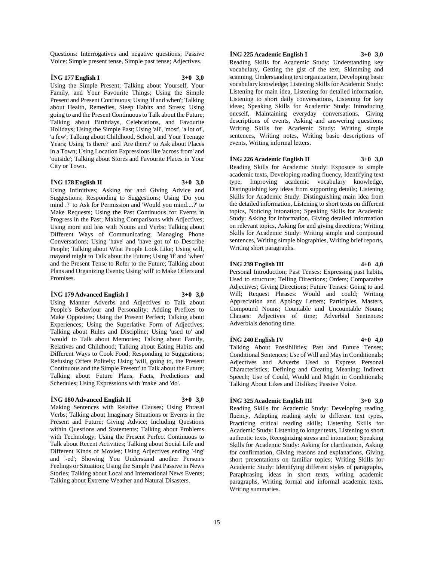Questions: Interrogatives and negative questions; Passive Voice: Simple present tense, Simple past tense; Adjectives.

#### **İNG 177 English I 3+0 3,0**

Using the Simple Present; Talking about Yourself, Your Family, and Your Favourite Things; Using the Simple Present and Present Continuous; Using 'if and when'; Talking about Health, Remedies, Sleep Habits and Stress; Using going to and the Present Continuous to Talk about the Future; Talking about Birthdays, Celebrations, and Favourite Holidays; Using the Simple Past; Using 'all', 'most', 'a lot of', 'a few'; Talking about Childhood, School, and Your Teenage Years; Using 'Is there?' and 'Are there?' to Ask about Places in a Town; Using Location Expressions like 'across from' and 'outside'; Talking about Stores and Favourite Places in Your City or Town.

#### **İNG 178 English II 3+0 3,0**

Using Infinitives; Asking for and Giving Advice and Suggestions; Responding to Suggestions; Using 'Do you mind .?' to Ask for Permission and 'Would you mind....?' to Make Requests; Using the Past Continuous for Events in Progress in the Past; Making Comparisons with Adjectives; Using more and less with Nouns and Verbs; Talking about Different Ways of Communicating; Managing Phone Conversations; Using 'have' and 'have got to' to Describe People; Talking about What People Look Like; Using will, mayand might to Talk about the Future; Using 'if' and 'when' and the Present Tense to Refer to the Future; Talking about Plans and Organizing Events; Using 'will' to Make Offers and Promises.

#### **İNG 179 Advanced English I 3+0 3,0**

Using Manner Adverbs and Adjectives to Talk about People's Behaviour and Personality; Adding Prefixes to Make Opposites; Using the Present Perfect; Talking about Experiences; Using the Superlative Form of Adjectives; Talking about Rules and Discipline; Using 'used to' and 'would' to Talk about Memories; Talking about Family, Relatives and Childhood; Talking about Eating Habits and Different Ways to Cook Food; Responding to Suggestions; Refusing Offers Politely; Using 'will, going to, the Present Continuous and the Simple Present' to Talk about the Future; Talking about Future Plans, Facts, Predictions and Schedules; Using Expressions with 'make' and 'do'.

#### **İNG 180 Advanced English II 3+0 3,0**

Making Sentences with Relative Clauses; Using Phrasal Verbs; Talking about Imaginary Situations or Events in the Present and Future; Giving Advice; Including Questions within Questions and Statements; Talking about Problems with Technology; Using the Present Perfect Continuous to Talk about Recent Activities; Talking about Social Life and Different Kinds of Movies; Using Adjectives ending '-ing' and '-ed'; Showing You Understand another Person's Feelings or Situation; Using the Simple Past Passive in News Stories; Talking about Local and International News Events; Talking about Extreme Weather and Natural Disasters.

#### **İNG 225 Academic English I 3+0 3,0**

Reading Skills for Academic Study: Understanding key vocabulary, Getting the gist of the text, Skimming and scanning, Understanding text organization, Developing basic vocabulary knowledge; Listening Skills for Academic Study: Listening for main idea, Listening for detailed information, Listening to short daily conversations, Listening for key ideas; Speaking Skills for Academic Study: Introducing oneself, Maintaining everyday conversations, Giving descriptions of events, Asking and answering questions; Writing Skills for Academic Study: Writing simple sentences, Writing notes, Writing basic descriptions of events, Writing informal letters.

#### **İNG 226 Academic English II 3+0 3,0**

Reading Skills for Academic Study: Exposure to simple academic texts, Developing reading fluency, Identifying text type, Improving academic vocabulary knowledge, Distinguishing key ideas from supporting details; Listening Skills for Academic Study: Distinguishing main idea from the detailed information, Listening to short texts on different topics, Noticing intonation; Speaking Skills for Academic Study: Asking for information, Giving detailed information on relevant topics, Asking for and giving directions; Writing Skills for Academic Study: Writing simple and compound sentences, Writing simple biographies, Writing brief reports, Writing short paragraphs.

#### **İNG 239 English III 4+0 4,0**

Personal Introduction; Past Tenses: Expressing past habits, Used to structure; Telling Directions; Orders; Comparative Adjectives; Giving Directions; Future Tenses: Going to and Will; Request Phrases: Would and could; Writing Appreciation and Apology Letters; Participles, Masters, Compound Nouns; Countable and Uncountable Nouns; Clauses: Adjectives of time; Adverbial Sentences: Adverbials denoting time.

#### **İNG 240 English IV 4+0 4,0**

Talking About Possibilities; Past and Future Tenses; Conditional Sentences; Use of Will and May in Conditionals; Adjectives and Adverbs Used to Express Personal Characteristics; Defining and Creating Meaning; Indirect Speech; Use of Could, Would and Might in Conditionals; Talking About Likes and Dislikes; Passive Voice.

#### **İNG 325 Academic English III 3+0 3,0**

Reading Skills for Academic Study: Developing reading fluency, Adapting reading style to different text types, Practicing critical reading skills; Listening Skills for Academic Study: Listening to longer texts, Listening to short authentic texts, Recognizing stress and intonation; Speaking Skills for Academic Study: Asking for clarification, Asking for confirmation, Giving reasons and explanations, Giving short presentations on familiar topics; Writing Skills for Academic Study: Identifying different styles of paragraphs, Paraphrasing ideas in short texts, writing academic paragraphs, Writing formal and informal academic texts, Writing summaries.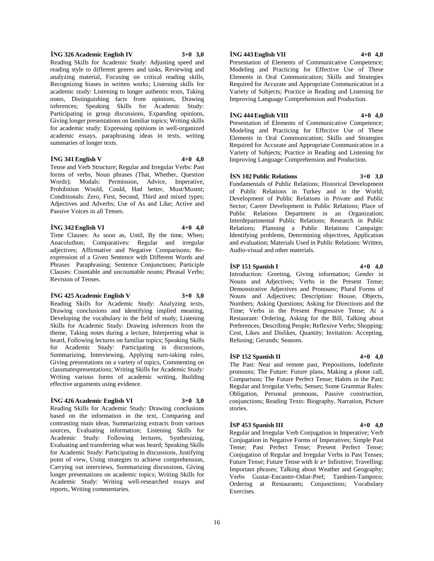#### **İNG 326 Academic English IV 3+0 3,0**

Reading Skills for Academic Study: Adjusting speed and reading style to different genres and tasks, Reviewing and analyzing material, Focusing on critical reading skills, Recognizing biases in written works; Listening skills for academic study: Listening to longer authentic texts, Taking notes, Distinguishing facts from opinions, Drawing inferences; Speaking Skills for Academic Study: Participating in group discussions, Expanding opinions, Giving longer presentations on familiar topics; Writing skills for academic study: Expressing opinions in well-organized academic essays, paraphrasing ideas in texts, writing summaries of longer texts.

## **İNG 341 English V 4+0 4,0**

Tense and Verb Structure; Regular and Irregular Verbs: Past forms of verbs, Noun phrases (That, Whether, Question Words); Modals: Permission, Advice, Imperative, Prohibition Would, Could, Had better, Must/Mustnt; Conditionals: Zero, First, Second, Third and mixed types; Adjectives and Adverbs; Use of As and Like; Active and Passive Voices in all Tenses.

#### **İNG 342 English VI 4+0 4,0**

Time Clauses: As soon as, Until, By the time, When; Anacoluthon; Comparatives: Regular and irregular

adjectives; Affirmative and Negative Comparisons; Reexpression of a Given Sentence with Different Words and Phrases Paraphrasing; Sentence Conjunctions; Participle Clauses: Countable and uncountable nouns; Phrasal Verbs; Revision of Tenses.

#### **İNG 425 Academic English V 3+0 3,0**

Reading Skills for Academic Study: Analyzing texts, Drawing conclusions and identifying implied meaning, Developing the vocabulary in the field of study; Listening Skills for Academic Study: Drawing inferences from the theme, Taking notes during a lecture, Interpreting what is heard, Following lectures on familiar topics; Speaking Skills for Academic Study: Participating in discussions, Summarizing, Interviewing, Applying turn-taking rules, Giving presentations on a variety of topics, Commenting on classmatespresentations; Writing Skills for Academic Study: Writing various forms of academic writing, Building effective arguments using evidence.

#### **İNG 426 Academic English VI 3+0 3,0**

Reading Skills for Academic Study: Drawing conclusions based on the information in the text, Comparing and contrasting main ideas, Summarizing extracts from various sources, Evaluating information; Listening Skills for Academic Study: Following lectures, Synthesizing, Evaluating and transferring what was heard; Speaking Skills for Academic Study: Participating in discussions, Justifying point of view, Using strategies to achieve comprehension, Carrying out interviews, Summarizing discussions, Giving longer presentations on academic topics; Writing Skills for Academic Study: Writing well-researched essays and reports, Writing commentaries.

## **İNG 443 English VII 4+0 4,0**

Presentation of Elements of Communicative Competence; Modeling and Practicing for Effective Use of These Elements in Oral Communication; Skills and Strategies Required for Accurate and Appropriate Communication in a Variety of Subjects; Practice in Reading and Listening for Improving Language Comprehension and Production.

#### **İNG 444 English VIII 4+0 4,0**

Presentation of Elements of Communicative Competence; Modeling and Practicing for Effective Use of These Elements in Oral Communication; Skills and Strategies Required for Accurate and Appropriate Communication in a Variety of Subjects; Practice in Reading and Listening for Improving Language Comprehension and Production.

## **İSN 102 Public Relations 3+0 3,0**

Fundamentals of Public Relations; Historical Development of Public Relations in Turkey and in the World; Development of Public Relations in Private and Public Sector; Career Development in Public Relations; Place of Public Relations Department in an Organization; Interdepartmental Public Relations; Research in Public Relations; Planning a Public Relations Campaign: Identifying problems, Determining objectives, Application and evaluation; Materials Used in Public Relations: Written, Audio-visual and other materials.

#### **İSP 151 Spanish I 4+0 4,0**

Introduction: Greeting, Giving information; Gender in Nouns and Adjectives; Verbs in the Present Tense; Demonstrative Adjectives and Pronouns; Plural Forms of Nouns and Adjectives; Description: House, Objects, Numbers; Asking Questions; Asking for Directions and the Time; Verbs in the Present Progressive Tense; At a Restaurant: Ordering, Asking for the Bill, Talking about Preferences; Describing People; Reflexive Verbs; Shopping: Cost, Likes and Dislikes, Quantity; Invitation: Accepting, Refusing; Gerunds; Seasons.

#### **İSP 152 Spanish II 4+0 4,0**

The Past: Near and remote past, Prepositions, Indefinite pronouns; The Future: Future plans, Making a phone call, Comparison; The Future Perfect Tense; Habits in the Past; Regular and Irregular Verbs; Senses; Some Grammar Rules: Obligation, Personal pronouns, Passive construction, conjunctions; Reading Texts: Biography, Narration, Picture stories.

#### **İSP 453 Spanish III 4+0 4,0**

Regular and Irregular Verb Conjugation in Imperative; Verb Conjugation in Negative Forms of Imperatives; Simple Past Tense; Past Perfect Tense; Present Perfect Tense; Conjugation of Regular and Irregular Verbs in Past Tenses; Future Tense; Future Tense with Ir a+ Infinitive; Travelling: Important phrases; Talking about Weather and Geography; Verbs Gustar-Encanter-Odiar-Pref; Tambien-Tampoco; Ordering at Restaurants; Conjunctions; Vocabulary Exercises.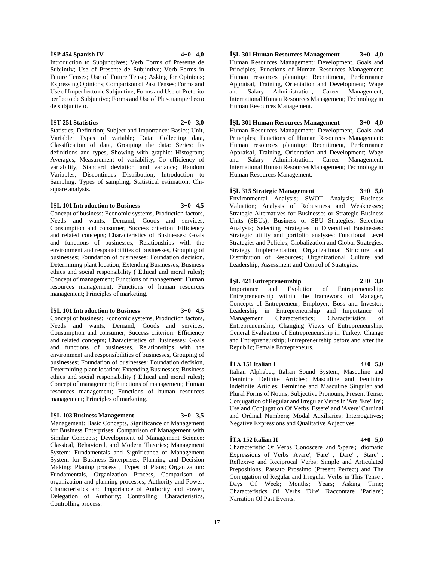# Republic; Female Entrepreneurs. **İTA 151 Italian I 4+0 5,0**

Italian Alphabet; Italian Sound System; Masculine and Feminine Definite Articles; Masculine and Feminine Plural Forms of Nouns; Subjective Pronouns; Present Tense; Conjugation of Regular and Irregular Verbs In 'Are' 'Ere' 'Ire';

Analysis; Selecting Strategies in Diversified Businesses:

Appraisal, Training, Orientation and Development; Wage and Salary Administration; Career Management;

Principles; Functions of Human Resources Management: Human resources planning; Recruitment, Performance Appraisal, Training, Orientation and Development; Wage and Salary Administration; Career Management; International Human Resources Management; Technology in

**İŞL 301 Human Resources Management 3+0 4,0** Human Resources Management: Development, Goals and

Human Resources Management.

**İŞL 301 Human Resources Management 3+0 4,0** Human Resources Management: Development, Goals and Principles; Functions of Human Resources Management: Human resources planning; Recruitment, Performance

International Human Resources Management; Technology in

# Human Resources Management. **İŞL 315 Strategic Management 3+0 5,0** Environmental Analysis; SWOT Analysis; Business Valuation; Analysis of Robustness and Weaknesses; Strategic Alternatives for Businesses or Strategic Business Units (SBUs); Business or SBU Strategies; Selection

Strategic utility and portfolio analyses; Functional Level Strategies and Policies; Globalization and Global Strategies; Strategy Implementation; Organizational Structure and Distribution of Resources; Organizational Culture and Leadership; Assessment and Control of Strategies. **İŞL 421 Entrepreneurship 2+0 3,0**

Importance and Evolution of Entrepreneurship: Entrepreneurship within the framework of Manager, Concepts of Entrepreneur, Employer, Boss and Investor; Leadership in Entrepreneurship and Importance of Management Characteristics; Characteristics of Entrepreneurship; Changing Views of Entrepreneurship; General Evaluation of Entrepreneurship in Turkey: Change and Entrepreneurship; Entrepreneurship before and after the

Indefinite Articles; Feminine and Masculine Singular and Use and Conjugation Of Verbs 'Essere' and 'Avere' Cardinal and Ordinal Numbers; Modal Auxiliaries; Interrogatives; Negative Expressions and Qualitative Adjectives.

# **İTA 152 Italian II 4+0 5,0**

Characteristic Of Verbs 'Conoscere' and 'Spare'; Idiomatic Expressions of Verbs 'Avare', 'Fare' , 'Dare' , 'Stare' ; Reflexive and Reciprocal Verbs; Simple and Articulated Prepositions; Passato Prossimo (Present Perfect) and The Conjugation of Regular and Irregular Verbs in This Tense ; Days Of Week; Months; Years; Asking Time; Characteristics Of Verbs 'Dire' 'Raccontare' 'Parlare'; Narration Of Past Events.

Introduction to Subjunctives; Verb Forms of Presente de Subjintiv; Use of Presente de Subjintive; Verb Forms in Future Tenses; Use of Future Tense; Asking for Opinions; Expressing Opinions; Comparison of Past Tenses; Forms and Use of Imperf ecto de Subjuntive; Forms and Use of Preterito perf ecto de Subjuntivo; Forms and Use of Pluscuamperf ecto de subjuntiv o.

#### **İST 251 Statistics 2+0 3,0**

Statistics; Definition; Subject and Importance: Basics; Unit, Variable: Types of variable; Data: Collecting data, Classification of data, Grouping the data: Series: Its definitions and types, Showing with graphic: Histogram; Averages, Measurement of variability, Co efficiency of variability, Standard deviation and variance; Random Variables; Discontinues Distribution; Introduction to Sampling: Types of sampling, Statistical estimation, Chisquare analysis.

#### **İŞL 101 Introduction to Business 3+0 4,5**

Concept of business: Economic systems, Production factors, Needs and wants, Demand, Goods and services, Consumption and consumer; Success criterion: Efficiency and related concepts; Characteristics of Businesses: Goals and functions of businesses, Relationships with the environment and responsibilities of businesses, Grouping of businesses; Foundation of businesses: Foundation decision, Determining plant location; Extending Businesses; Business ethics and social responsibility ( Ethical and moral rules); Concept of management; Functions of management; Human resources management; Functions of human resources management; Principles of marketing.

#### **İŞL 101 Introduction to Business 3+0 4,5**

Concept of business: Economic systems, Production factors, Needs and wants, Demand, Goods and services, Consumption and consumer; Success criterion: Efficiency and related concepts; Characteristics of Businesses: Goals and functions of businesses, Relationships with the environment and responsibilities of businesses, Grouping of businesses; Foundation of businesses: Foundation decision, Determining plant location; Extending Businesses; Business ethics and social responsibility ( Ethical and moral rules); Concept of management; Functions of management; Human resources management; Functions of human resources management; Principles of marketing.

# **İŞL 103 Business Management 3+0 3,5**

Management: Basic Concepts, Significance of Management for Business Enterprises; Comparison of Management with Similar Concepts; Development of Management Science: Classical, Behavioral, and Modern Theories; Management System: Fundamentals and Significance of Management System for Business Enterprises; Planning and Decision Making: Planing process , Types of Plans; Organization: Fundamentals, Organization Process, Comparison of organization and planning processes; Authority and Power: Characteristics and Importance of Authority and Power, Delegation of Authority; Controlling: Characteristics, Controlling process.

# **İSP 454 Spanish IV 4+0 4,0**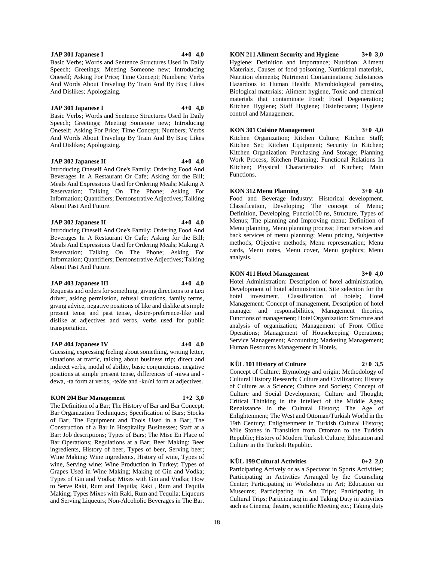Introducing Oneself And One's Family; Ordering Food And Beverages In A Restaurant Or Cafe; Asking for the Bill; Meals And Expressions Used for Ordering Meals; Making A Reservation; Talking On The Phone; Asking For Information; Quantifiers; Demonstrative Adjectives; Talking About Past And Future.

**JAP 302 Japanese II 4+0 4,0**

Speech; Greetings; Meeting Someone new; Introducing Oneself; Asking For Price; Time Concept; Numbers; Verbs And Words About Traveling By Train And By Bus; Likes

**JAP 301 Japanese I 4+0 4,0** Basic Verbs; Words and Sentence Structures Used In Daily Speech; Greetings; Meeting Someone new; Introducing Oneself; Asking For Price; Time Concept; Numbers; Verbs And Words About Traveling By Train And By Bus; Likes

#### **JAP 302 Japanese II 4+0 4,0**

Introducing Oneself And One's Family; Ordering Food And Beverages In A Restaurant Or Cafe; Asking for the Bill; Meals And Expressions Used for Ordering Meals; Making A Reservation; Talking On The Phone; Asking For Information; Quantifiers; Demonstrative Adjectives; Talking About Past And Future.

#### **JAP 403 Japanese III 4+0 4,0**

Requests and orders for something, giving directions to a taxi driver, asking permission, refusal situations, family terms, giving advice, negative positions of like and dislike at simple present tense and past tense, desire-preference-like and dislike at adjectives and verbs, verbs used for public transportation.

#### **JAP 404 Japanese IV 4+0 4,0**

Guessing, expressing feeling about something, writing letter, situations at traffic, talking about business trip; direct and indirect verbs, modal of ability, basic conjunctions, negative positions at simple present tense, differences of -niwa and dewa, -ta form at verbs, -te/de and -ku/ni form at adjectives.

#### **KON 204 Bar Management 1+2 3,0**

The Definition of a Bar; The History of Bar and Bar Concept; Bar Organization Techniques; Specification of Bars; Stocks of Bar; The Equipment and Tools Used in a Bar; The Construction of a Bar in Hospitality Businesses; Staff at a Bar: Job descriptions; Types of Bars; The Mise En Place of Bar Operations; Regulations at a Bar; Beer Making: Beer ingredients, History of beer, Types of beer, Serving beer; Wine Making: Wine ingredients, History of wine, Types of wine, Serving wine; Wine Production in Turkey; Types of Grapes Used in Wine Making; Making of Gin and Vodka; Types of Gin and Vodka; Mixes with Gin and Vodka; How to Serve Raki, Rum and Tequila; Raki , Rum and Tequila Making; Types Mixes with Raki, Rum and Tequila; Liqueurs and Serving Liqueurs; Non-Alcoholic Beverages in The Bar.

**KON 211 Aliment Security and Hygiene 3+0 3,0** Hygiene; Definition and Importance; Nutrition: Aliment Materials, Causes of food poisoning, Nutritional materials, Nutrition elements; Nutriment Contaminations; Substances Hazardous to Human Health: Microbiological parasites, Biological materials; Aliment hygiene, Toxic and chemical materials that contaminate Food; Food Degeneration; Kitchen Hygiene; Staff Hygiene; Disinfectants; Hygiene control and Management.

**KON 301 Cuisine Management 3+0 4,0** Kitchen Organization; Kitchen Culture; Kitchen Staff; Kitchen Set; Kitchen Equipment; Security In Kitchen;

Kitchen Organization: Purchasing And Storage; Planning Work Process; Kitchen Planning; Functional Relations In Kitchen; Physical Characteristics of Kitchen; Main Functions.

#### **KON 312 Menu Planning 3+0 4,0**

Food and Beverage Industry: Historical development, Classification, Developing; The concept of Menu; Definition, Developing, Functio100 ns, Structure, Types of Menus; The planning and Improving menu; Definition of Menu planning, Menu planning process; Front services and back services of menu planning; Menu pricing, Subjective methods, Objective methods; Menu representation; Menu cards, Menu notes, Menu cover, Menu graphics; Menu analysis.

#### **KON 411 Hotel Management 3+0 4,0**

Hotel Administration: Description of hotel administration, Development of hotel administration, Site selection for the hotel investment, Classification of hotels; Hotel Management: Concept of management, Description of hotel manager and responsibilities, Management theories, Functions of management; Hotel Organization: Structure and analysis of organization; Management of Front Office Operations; Management of Housekeeping Operations; Service Management; Accounting; Marketing Management; Human Resources Management in Hotels.

#### **KÜL 101 History of Culture 2+0 3,5**

Concept of Culture: Etymology and origin; Methodology of Cultural History Research; Culture and Civilization; History of Culture as a Science; Culture and Society; Concept of Culture and Social Development; Culture and Thought; Critical Thinking in the Intellect of the Middle Ages; Renaissance in the Cultural History; The Age of Enlightenment; The West and Ottoman/Turkish World in the 19th Century; Enlightenment in Turkish Cultural History; Mile Stones in Transition from Ottoman to the Turkish Republic; History of Modern Turkish Culture; Education and Culture in the Turkish Republic.

#### **KÜL 199 Cultural Activities 0+2 2,0**

Participating Actively or as a Spectator in Sports Activities; Participating in Activities Arranged by the Counseling Center; Participating in Workshops in Art; Education on Museums; Participating in Art Trips; Participating in Cultural Trips; Participating in and Taking Duty in activities such as Cinema, theatre, scientific Meeting etc.; Taking duty

#### **JAP 301 Japanese I 4+0 4,0**

And Dislikes; Apologizing.

And Dislikes; Apologizing.

Basic Verbs; Words and Sentence Structures Used In Daily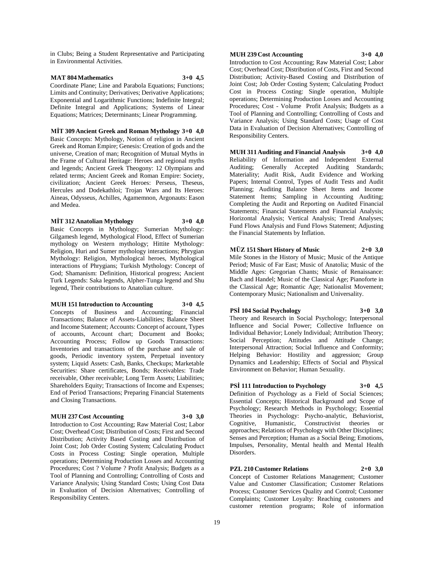in Clubs; Being a Student Representative and Participating in Environmental Activities.

#### **MAT 804 Mathematics 3+0 4,5**

Coordinate Plane; Line and Parabola Equations; Functions; Limits and Continuity; Derivatives; Derivative Applications; Exponential and Logarithmic Functions; Indefinite Integral; Definite Integral and Applications; Systems of Linear Equations; Matrices; Determinants; Linear Programming.

**MİT 309 Ancient Greek and Roman Mythology 3+0 4,0** Basic Concepts: Mythology, Notion of religion in Ancient Greek and Roman Empire; Genesis: Creation of gods and the universe, Creation of man; Recognition of Mutual Myths in the Frame of Cultural Heritage: Heroes and regional myths and legends; Ancient Greek Theogony: 12 Olympians and related terms; Ancient Greek and Roman Empire: Society, civilization; Ancient Greek Heroes: Perseus, Theseus, Hercules and Dodekathloi; Trojan Wars and Its Heroes: Aineas, Odysseus, Achilles, Agamemnon, Argonauts: Eason and Medea.

#### **MİT 312 Anatolian Mythology 3+0 4,0**

Basic Concepts in Mythology; Sumerian Mythology: Gilgamesh legend, Mythological Flood, Effect of Sumerian mythology on Western mythology; Hittite Mythology: Religion, Huri and Sumer mythology interactions; Phrygian Mythology: Religion, Mythological heroes, Mythological interactions of Phrygians; Turkish Mythology: Concept of God; Shamanism: Definition, Historical progress; Ancient Turk Legends: Saka legends, Alpher-Tunga legend and Shu legend, Their contributions to Anatolian culture.

**MUH 151 Introduction to Accounting 3+0 4,5** Concepts of Business and Accounting; Financial Transactions; Balance of Assets-Liabilities; Balance Sheet and Income Statement; Accounts: Concept of account, Types of accounts, Account chart; Document and Books; Accounting Process; Follow up Goods Transactions: Inventories and transactions of the purchase and sale of goods, Periodic inventory system, Perpetual inventory system; Liquid Assets: Cash, Banks, Checkups; Marketable Securities: Share certificates, Bonds; Receivables: Trade receivable, Other receivable; Long Term Assets; Liabilities; Shareholders Equity; Transactions of Income and Expenses; End of Period Transactions; Preparing Financial Statements and Closing Transactions.

#### **MUH 237 Cost Accounting 3+0 3,0**

Introduction to Cost Accounting; Raw Material Cost; Labor Cost; Overhead Cost; Distribution of Costs; First and Second Distribution; Activity Based Costing and Distribution of Joint Cost; Job Order Costing System; Calculating Product Costs in Process Costing: Single operation, Multiple operations; Determining Production Losses and Accounting Procedures; Cost ? Volume ? Profit Analysis; Budgets as a Tool of Planning and Controlling; Controlling of Costs and Variance Analysis; Using Standard Costs; Using Cost Data in Evaluation of Decision Alternatives; Controlling of Responsibility Centers.

#### **MUH 239 Cost Accounting 3+0 4,0**

Introduction to Cost Accounting; Raw Material Cost; Labor Cost; Overhead Cost; Distribution of Costs, First and Second Distribution; Activity-Based Costing and Distribution of Joint Cost; Job Order Costing System; Calculating Product Cost in Process Costing: Single operation, Multiple operations; Determining Production Losses and Accounting Procedures; Cost - Volume Profit Analysis; Budgets as a Tool of Planning and Controlling; Controlling of Costs and Variance Analysis; Using Standard Costs; Usage of Cost Data in Evaluation of Decision Alternatives; Controlling of Responsibility Centers.

# **MUH 311 Auditing and Financial Analysis 3+0 4,0**

Reliability of Information and Independent External Auditing; Generally Accepted Auditing Standards; Materiality; Audit Risk, Audit Evidence and Working Papers; Internal Control, Types of Audit Tests and Audit Planning; Auditing Balance Sheet Items and Income Statement Items; Sampling in Accounting Auditing; Completing the Audit and Reporting on Audited Financial Statements; Financial Statements and Financial Analysis; Horizontal Analysis; Vertical Analysis; Trend Analyses; Fund Flows Analysis and Fund Flows Statement; Adjusting the Financial Statements by Inflation.

#### **MÜZ 151 Short History of Music 2+0 3,0**

Mile Stones in the History of Music; Music of the Antique Period; Music of Far East; Music of Anatolia; Music of the Middle Ages: Gregorian Chants; Music of Renaissance: Bach and Handel; Music of the Classical Age; Pianoforte in the Classical Age; Romantic Age; Nationalist Movement; Contemporary Music; Nationalism and Universality.

#### **PSİ 104 Social Psychology 3+0 3,0**

Theory and Research in Social Psychology; Interpersonal Influence and Social Power; Collective Influence on Individual Behavior; Lonely Individual; Attribution Theory; Social Perception; Attitudes and Attitude Change; Interpersonal Attraction; Social Influence and Conformity; Helping Behavior: Hostility and aggression; Group Dynamics and Leadership; Effects of Social and Physical Environment on Behavior; Human Sexuality.

#### **PSİ 111 Introduction to Psychology 3+0 4,5**

Definition of Psychology as a Field of Social Sciences; Essential Concepts; Historical Background and Scope of Psychology; Research Methods in Psychology; Essential Theories in Psychology: Psycho-analytic, Behaviorist, Cognitive, Humanistic, Constructivist theories or approaches; Relations of Psychology with Other Disciplines; Senses and Perception; Human as a Social Being; Emotions, Impulses, Personality, Mental health and Mental Health Disorders.

#### **PZL 210 Customer Relations 2+0 3,0**

Concept of Customer Relations Management; Customer Value and Customer Classification; Customer Relations Process; Customer Services Quality and Control; Customer Complaints; Customer Loyalty: Reaching customers and customer retention programs; Role of information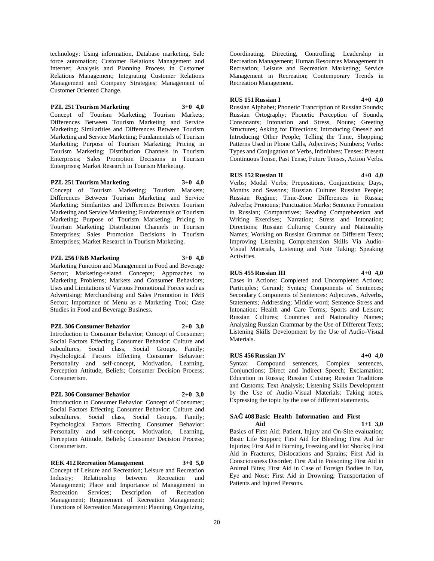technology: Using information, Database marketing, Sale force automation; Customer Relations Management and Internet; Analysis and Planning Process in Customer Relations Management; Integrating Customer Relations Management and Company Strategies; Management of Customer Oriented Change.

#### **PZL 251 Tourism Marketing 3+0 4,0**

Concept of Tourism Marketing; Tourism Markets; Differences Between Tourism Marketing and Service Marketing; Similarities and Differences Between Tourism Marketing and Service Marketing; Fundamentals of Tourism Marketing; Purpose of Tourism Marketing; Pricing in Tourism Marketing; Distribution Channels in Tourism Enterprises; Sales Promotion Decisions in Tourism Enterprises; Market Research in Tourism Marketing.

#### **PZL 251 Tourism Marketing 3+0 4,0**

Concept of Tourism Marketing; Tourism Markets; Differences Between Tourism Marketing and Service Marketing; Similarities and Differences Between Tourism Marketing and Service Marketing; Fundamentals of Tourism Marketing; Purpose of Tourism Marketing; Pricing in Tourism Marketing; Distribution Channels in Tourism Enterprises; Sales Promotion Decisions in Tourism Enterprises; Market Research in Tourism Marketing.

#### **PZL 256 F&B Marketing 3+0 4,0**

Marketing Function and Management in Food and Beverage Sector; Marketing-related Concepts; Approaches to Marketing Problems; Markets and Consumer Behaviors; Uses and Limitations of Various Promotional Forces such as Advertising; Merchandising and Sales Promotion in F&B Sector; Importance of Menu as a Marketing Tool; Case Studies in Food and Beverage Business.

#### **PZL 306 Consumer Behavior 2+0 3,0**

Introduction to Consumer Behavior; Concept of Consumer; Social Factors Effecting Consumer Behavior: Culture and subcultures, Social class, Social Groups, Family; Psychological Factors Effecting Consumer Behavior: Personality and self-concept, Motivation, Learning, Perception Attitude, Beliefs; Consumer Decision Process; Consumerism.

#### **PZL 306 Consumer Behavior 2+0 3,0**

Introduction to Consumer Behavior; Concept of Consumer; Social Factors Effecting Consumer Behavior: Culture and subcultures, Social class, Social Groups, Family; Psychological Factors Effecting Consumer Behavior: Personality and self-concept, Motivation, Learning, Perception Attitude, Beliefs; Consumer Decision Process; Consumerism.

#### **REK 412 Recreation Management 3+0 5,0**

Concept of Leisure and Recreation; Leisure and Recreation Industry; Relationship between Recreation and Management; Place and Importance of Management in Recreation Services; Description of Recreation Management; Requirement of Recreation Management; Functions of Recreation Management: Planning, Organizing,

Coordinating, Directing, Controlling; Leadership in Recreation Management; Human Resources Management in Recreation; Leisure and Recreation Marketing; Service Management in Recreation; Contemporary Trends in Recreation Management.

#### **RUS 151 Russian I 4+0 4,0**

Russian Alphabet; Phonetic Trancription of Russian Sounds; Russian Ortography; Phonetic Perception of Sounds, Consonants; Intonation and Stress, Nouns; Greeting Structures; Asking for Directions; Introducing Oneself and Introducing Other People; Telling the Time, Shopping; Patterns Used in Phone Calls, Adjectives; Numbers; Verbs: Types and Conjugation of Verbs, Infinitives; Tenses: Present Continuous Tense, Past Tense, Future Tenses, Action Verbs.

#### **RUS 152 Russian II 4+0 4,0**

Verbs; Modal Verbs; Prepositions, Conjunctions; Days, Months and Seasons; Russian Culture: Russian People; Russian Regime; Time-Zone Differences in Russia; Adverbs; Pronouns; Punctuation Marks; Sentence Formation in Russian; Comparatives; Reading Comprehension and Writing Exercises; Narration; Stress and Intonation; Directions; Russian Cultures; Country and Nationality Names; Working on Russian Grammar on Different Texts; Improving Listening Comprehension Skills Via Audio-Visual Materials, Listening and Note Taking; Speaking Activities.

#### **RUS 455 Russian III 4+0 4,0**

Cases in Actions: Completed and Uncompleted Actions; Participles; Gerund; Syntax; Components of Sentences; Secondary Components of Sentences: Adjectives, Adverbs, Statements; Addressing; Middle word; Sentence Stress and Intonation; Health and Care Terms; Sports and Leisure; Russian Cultures; Countries and Nationality Names; Analyzing Russian Grammar by the Use of Different Texts; Listening Skills Development by the Use of Audio-Visual Materials.

#### **RUS 456 Russian IV 4+0 4,0**

Syntax: Compound sentences, Complex sentences, Conjunctions; Direct and Indirect Speech; Exclamation; Education in Russia; Russian Cuisine; Russian Traditions and Customs; Text Analysis; Listening Skills Development by the Use of Audio-Visual Materials: Taking notes, Expressing the topic by the use of different statements.

#### **SAĞ 408 Basic Health Information and First Aid 1+1 3,0**

Basics of First Aid; Patient, Injury and On-Site evaluation; Basic Life Support; First Aid for Bleeding; First Aid for Injuries; First Aid in Burning, Freezing and Hot Shocks; First Aid in Fractures, Dislocations and Sprains; First Aid in Consciousness Disorder; First Aid in Poisoning; First Aid in Animal Bites; First Aid in Case of Foreign Bodies in Ear, Eye and Nose; First Aid in Drowning; Transportation of Patients and Injured Persons.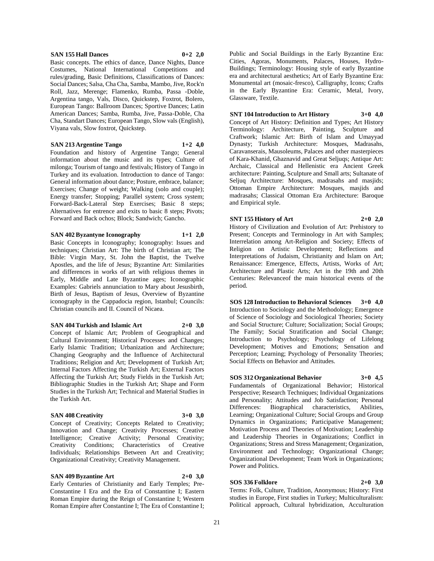#### **SAN 155 Hall Dances 0+2 2,0**

Basic concepts. The ethics of dance, Dance Nights, Dance Costumes, National International Competitions and rules/grading, Basic Definitions, Classifications of Dances: Social Dances; Salsa, Cha Cha, Samba, Mambo, Jive, Rock'n Roll, Jazz, Merenge; Flamenko, Rumba, Passa -Doble, Argentina tango, Vals, Disco, Quickstep, Foxtrot, Bolero, European Tango: Ballroom Dances; Sportive Dances; Latin American Dances; Samba, Rumba, Jive, Passa-Doble, Cha Cha, Standart Dances; European Tango, Slow vals (English), Viyana vals, Slow foxtrot, Quickstep.

**SAN 213 Argentine Tango 1+2 4,0**

Foundation and history of Argentine Tango; General information about the music and its types; Culture of milonga; Tourism of tango and festivals; History of Tango in Turkey and its evaluation. Introduction to dance of Tango: General information about dance; Posture, embrace, balance; Exercises; Change of weight; Walking (solo and couple); Energy transfer; Stopping; Parallel system; Cross system; Forward-Back-Lateral Step Exercises; Basic 8 steps; Alternatives for entrence and exits to basic 8 steps; Pivots; Forward and Back ochos; Block; Sandwich; Gancho.

**SAN 402 Byzantyne Iconography 1+1 2,0**

Basic Concepts in Iconography; Iconography: Issues and techniques; Christian Art: The birth of Christian art; The Bible: Virgin Mary, St. John the Baptist, the Twelve Apostles, and the life of Jesus; Byzantine Art: Similarities and differences in works of art with religious themes in Early, Middle and Late Byzantine ages; Iconographic Examples: Gabriels annunciation to Mary about Jesusbirth, Birth of Jesus, Baptism of Jesus, Overview of Byzantine iconography in the Cappadocia region, Istanbul; Councils: Christian councils and II. Council of Nicaea.

**SAN 404 Turkish and Islamic Art 2+0 3,0**

Concept of Islamic Art; Problem of Geographical and Cultural Environment; Historical Processes and Changes; Early Islamic Tradition; Urbanization and Architecture; Changing Geography and the Influence of Architectural Traditions; Religion and Art; Development of Turkish Art; Internal Factors Affecting the Turkish Art; External Factors Affecting the Turkish Art; Study Fields in the Turkish Art; Bibliographic Studies in the Turkish Art; Shape and Form Studies in the Turkish Art; Technical and Material Studies in the Turkish Art.

#### **SAN 408 Creativity 3+0 3,0**

Concept of Creativity; Concepts Related to Creativity; Innovation and Change; Creativity Processes; Creative Intelligence; Creative Activity; Personal Creativity; Creativity Conditions; Characteristics of Creative Individuals; Relationships Between Art and Creativity; Organizational Creativity; Creativity Management.

#### **SAN 409 Byzantine Art 2+0 3,0**

Early Centuries of Christianity and Early Temples; Pre-Constantine I Era and the Era of Constantine I; Eastern Roman Empire during the Reign of Constantine I; Western Roman Empire after Constantine I; The Era of Constantine I;

Public and Social Buildings in the Early Byzantine Era: Cities, Agoras, Monuments, Palaces, Houses, Hydro-Buildings; Terminology: Housing style of early Byzantine era and architectural aesthetics; Art of Early Byzantine Era: Monumental art (mosaic-fresco), Calligraphy, Icons; Crafts in the Early Byzantine Era: Ceramic, Metal, Ivory, Glassware, Textile.

#### **SNT 104 Introduction to Art History 3+0 4,0**

Concept of Art History: Definition and Types; Art History Terminology: Architecture, Painting, Sculpture and Craftwork; Islamic Art: Birth of Islam and Umayyad Dynasty; Turkish Architecture: Mosques, Madrasahs, Caravanserais, Mausoleums, Palaces and other masterpieces of Kara-Khanid, Ghaznavid and Great Seljuqs; Antique Art: Archaic, Classical and Hellenistic era Ancient Greek architecture: Painting, Sculpture and Small arts; Sultanate of Seljuq Architecture: Mosques, madrasahs and masjids; Ottoman Empire Architecture: Mosques, masjids and madrasahs; Classical Ottoman Era Architecture: Baroque and Empirical style.

# **SNT 155 History of Art 2+0 2,0**

History of Civilization and Evolution of Art: Prehistory to Present; Concepts and Terminology in Art with Samples; Interrelation among Art-Religion and Society; Effects of Religion on Artistic Development; Reflections and Interpretations of Judaism, Christianity and Islam on Art; Renaissance: Emergence, Effects, Artists, Works of Art; Architecture and Plastic Arts; Art in the 19th and 20th Centuries: Relevanceof the main historical events of the period.

**SOS 128 Introduction to Behavioral Sciences 3+0 4,0** Introduction to Sociology and the Methodology; Emergence of Science of Sociology and Sociological Theories; Society and Social Structure; Culture; Socialization; Social Groups; The Family; Social Stratification and Social Change; Introduction to Psychology; Psychology of Lifelong Development; Motives and Emotions; Sensation and Perception; Learning; Psychology of Personality Theories; Social Effects on Behavior and Attitudes.

# **SOS 312 Organizational Behavior 3+0 4,5**

Fundamentals of Organizational Behavior; Historical Perspective; Research Techniques; Individual Organizations and Personality; Attitudes and Job Satisfaction; Personal Differences: Biographical characteristics, Abilities, Learning; Organizational Culture; Social Groups and Group Dynamics in Organizations; Participative Management; Motivation Process and Theories of Motivation; Leadership and Leadership Theories in Organizations; Conflict in Organizations; Stress and Stress Management; Organization, Environment and Technology; Organizational Change; Organizational Development; Team Work in Organizations; Power and Politics.

#### **SOS 336 Folklore 2+0 3,0**

Terms: Folk, Culture, Tradition, Anonymous; History: First studies in Europe, First studies in Turkey; Multiculturalism: Political approach, Cultural hybridization, Acculturation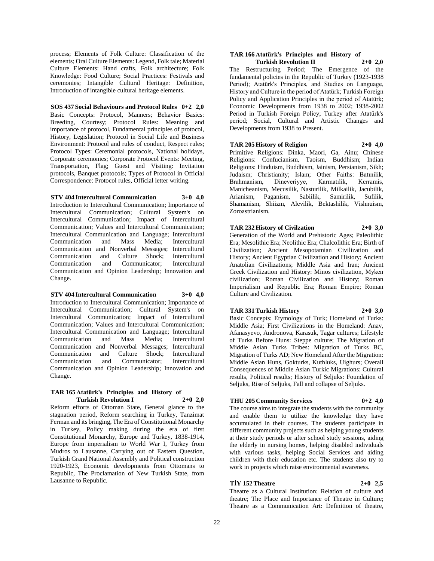process; Elements of Folk Culture: Classification of the elements; Oral Culture Elements: Legend, Folk tale; Material Culture Elements: Hand crafts, Folk architecture; Folk Knowledge: Food Culture; Social Practices: Festivals and ceremonies; Intangible Cultural Heritage: Definition, Introduction of intangible cultural heritage elements.

**SOS 437 Social Behaviours and Protocol Rules 0+2 2,0** Basic Concepts: Protocol, Manners; Behavior Basics: Breeding, Courtesy; Protocol Rules: Meaning and importance of protocol, Fundamental principles of protocol, History, Legislation; Protocol in Social Life and Business Environment: Protocol and rules of conduct, Respect rules; Protocol Types: Ceremonial protocols, National holidays, Corporate ceremonies; Corporate Protocol Events: Meeting, Transportation, Flag; Guest and Visiting: Invitation protocols, Banquet protocols; Types of Protocol in Official Correspondence: Protocol rules, Official letter writing.

**STV 404 Intercultural Communication 3+0 4,0**

Introduction to Intercultural Communication; Importance of Intercultural Communication; Cultural System's on Intercultural Communication; Impact of Intercultural Communication; Values and Intercultural Communication; Intercultural Communication and Language; Intercultural Communication and Mass Media; Intercultural Communication and Nonverbal Messages; Intercultural Communication and Culture Shock; Intercultural Communication and Communicator; Intercultural Communication and Opinion Leadership; Innovation and Change.

#### **STV 404 Intercultural Communication 3+0 4,0**

Introduction to Intercultural Communication; Importance of Intercultural Communication; Cultural System's on Intercultural Communication; Impact of Intercultural Communication; Values and Intercultural Communication; Intercultural Communication and Language; Intercultural Communication and Mass Media; Intercultural Communication and Nonverbal Messages; Intercultural Communication and Culture Shock; Intercultural Communication and Communicator; Intercultural Communication and Opinion Leadership; Innovation and Change.

#### **TAR 165 Atatürk's Principles and History of Turkish Revolution I 2+0 2,0**

Reform efforts of Ottoman State, General glance to the stagnation period, Reform searching in Turkey, Tanzimat Ferman and its bringing, The Era of Constitutional Monarchy in Turkey, Policy making during the era of first Constitutional Monarchy, Europe and Turkey, 1838-1914, Europe from imperialism to World War I, Turkey from Mudros to Lausanne, Carrying out of Eastern Question, Turkish Grand National Assembly and Political construction 1920-1923, Economic developments from Ottomans to Republic, The Proclamation of New Turkish State, from Lausanne to Republic.

#### **TAR 166 Atatürk's Principles and History of Turkish Revolution II 2+0 2,0**

The Restructuring Period; The Emergence of the fundamental policies in the Republic of Turkey (1923-1938 Period); Atatürk's Principles, and Studies on Language, History and Culture in the period of Atatürk; Turkish Foreign Policy and Application Principles in the period of Atatürk; Economic Developments from 1938 to 2002; 1938-2002 Period in Turkish Foreign Policy; Turkey after Atatürk's period; Social, Cultural and Artistic Changes and Developments from 1938 to Present.

**TAR 205 History of Religion 2+0 4,0** Primitive Religions: Dinka, Maori, Ga, Ainu; Chinese Religions: Confucianism, Taoism, Buddhism; Indian Religions: Hinduism, Buddhism, Jainism, Persianism, Sikh; Judaism; Christianity; Islam; Other Faiths: Batınilik, Brahmanism, Dineveriyye, Karmatılik, Kerramis, Manicheanism, Mecusilik, Nasturilik, Milkailik, Jacubilik, Arianism, Paganism, Sabiilik, Samirilik, Sufilik, Shamanism, Shiizm, Alevilik, Bektashilik, Vishnuism, Zoroastrianism.

**TAR 232 History of Civilzation 2+0 3,0** Generation of the World and Prehistoric Ages; Paleolithic Era; Mesolithic Era; Neolithic Era; Chalcolithic Era; Birth of Civilization; Ancient Mesopotamian Civilization and History; Ancient Egyptian Civilization and History; Ancient Anatolian Civilizations; Middle Asia and Iran; Ancient Greek Civilization and History: Minos civilization, Myken civilization; Roman Civilization and History; Roman Imperialism and Republic Era; Roman Empire; Roman Culture and Civilization.

#### **TAR 331 Turkish History 2+0 3,0**

Basic Concepts: Etymology of Turk; Homeland of Turks: Middle Asia; First Civilizations in the Homeland: Anav, Afanasyevo, Andronova, Karasuk, Tagar cultures; Lifestyle of Turks Before Huns: Steppe culture; The Migration of Middle Asian Turks Tribes: Migration of Turks BC, Migration of Turks AD; New Homeland After the Migration: Middle Asian Huns, Gokturks, Kuthluks, Uighurs; Overall Consequences of Middle Asian Turkic Migrations: Cultural results, Political results; History of Seljuks: Foundation of Seljuks, Rise of Seljuks, Fall and collapse of Seljuks.

#### **THU 205 Community Services 0+2 4,0**

The course aims to integrate the students with the community and enable them to utilize the knowledge they have accumulated in their courses. The students participate in different community projects such as helping young students at their study periods or after school study sessions, aiding the elderly in nursing homes, helping disabled individuals with various tasks, helping Social Services and aiding children with their education etc. The students also try to

#### **TİY 152 Theatre 2+0 2,5**

Theatre as a Cultural Institution: Relation of culture and theatre; The Place and Importance of Theatre in Culture; Theatre as a Communication Art: Definition of theatre,

work in projects which raise environmental awareness.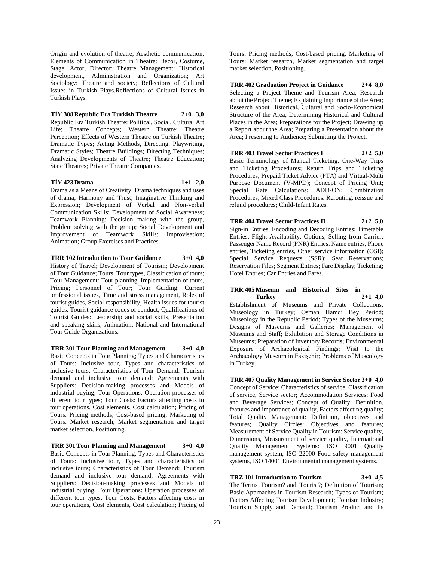Origin and evolution of theatre, Aesthetic communication; Elements of Communication in Theatre: Decor, Costume, Stage, Actor, Director; Theatre Management: Historical development, Administration and Organization; Art Sociology: Theatre and society; Reflections of Cultural Issues in Turkish Plays.Reflections of Cultural Issues in Turkish Plays.

**TİY 308 Republic Era Turkish Theatre 2+0 3,0**

Republic Era Turkish Theatre: Political, Social, Cultural Art Life; Theatre Concepts; Western Theatre; Theatre Perception; Effects of Western Theatre on Turkish Theatre; Dramatic Types; Acting Methods, Directing, Playwriting, Dramatic Styles; Theatre Buildings; Directing Techniques; Analyzing Developments of Theatre; Theatre Education; State Theatres; Private Theatre Companies.

#### **TİY 423 Drama 1+1 2,0**

Drama as a Means of Creativity: Drama techniques and uses of drama; Harmony and Trust; Imaginative Thinking and Expression; Development of Verbal and Non-verbal Communication Skills; Development of Social Awareness; Teamwork Planning: Decision making with the group, Problem solving with the group; Social Development and Improvement of Teamwork Skills; Improvisation; Animation; Group Exercises and Practices.

**TRR 102 Introduction to Tour Guidance 3+0 4,0** History of Travel; Development of Tourism; Development of Tour Guidance; Tours: Tour types, Classification of tours; Tour Management: Tour planning, Implementation of tours, Pricing; Personnel of Tour; Tour Guiding: Current professional issues, Time and stress management, Roles of tourist guides, Social responsibility, Health issues for tourist guides, Tourist guidance codes of conduct; Qualifications of Tourist Guides: Leadership and social skills, Presentation and speaking skills, Animation; National and International Tour Guide Organizations.

**TRR 301 Tour Planning and Management 3+0 4,0** Basic Concepts in Tour Planning; Types and Characteristics of Tours: Inclusive tour, Types and characteristics of inclusive tours; Characteristics of Tour Demand: Tourism demand and inclusive tour demand; Agreements with Suppliers: Decision-making processes and Models of industrial buying; Tour Operations: Operation processes of different tour types; Tour Costs: Factors affecting costs in tour operations, Cost elements, Cost calculation; Pricing of Tours: Pricing methods, Cost-based pricing; Marketing of Tours: Market research, Market segmentation and target market selection, Positioning.

**TRR 301 Tour Planning and Management 3+0 4,0** Basic Concepts in Tour Planning; Types and Characteristics of Tours: Inclusive tour, Types and characteristics of inclusive tours; Characteristics of Tour Demand: Tourism demand and inclusive tour demand; Agreements with Suppliers: Decision-making processes and Models of industrial buying; Tour Operations: Operation processes of different tour types; Tour Costs: Factors affecting costs in tour operations, Cost elements, Cost calculation; Pricing of

Tours: Pricing methods, Cost-based pricing; Marketing of Tours: Market research, Market segmentation and target market selection, Positioning.

**TRR 402 Graduation Project in Guidance 2+4 8,0** Selecting a Project Theme and Tourism Area; Research about the Project Theme; Explaining Importance of the Area; Research about Historical, Cultural and Socio-Economical Structure of the Area; Determining Historical and Cultural Places in the Area; Preparations for the Project; Drawing up a Report about the Area; Preparing a Presentation about the Area; Presenting to Audience; Submitting the Project.

**TRR 403 Travel Sector Practices I 2+2 5,0** Basic Terminology of Manual Ticketing; One-Way Trips and Ticketing Procedures; Return Trips and Ticketing Procedures; Prepaid Ticket Advice (PTA) and Virtual-Multi Purpose Document (V-MPD); Concept of Pricing Unit; Special Rate Calculations; ADD-ON; Combination Procedures; Mixed Class Procedures: Rerouting, reissue and refund procedures; Child-Infant Rates.

**TRR 404 Travel Sector Practices II 2+2 5,0** Sign-in Entries; Encoding and Decoding Entries; Timetable Entries; Flight Availability; Options; Selling from Carrier; Passenger Name Record (PNR) Entries: Name entries, Phone entries, Ticketing entries, Other service information (OSI); Special Service Requests (SSR); Seat Reservations; Reservation Files; Segment Entries; Fare Display; Ticketing; Hotel Entries; Car Entries and Fares.

#### **TRR 405 Museum and Historical Sites in Turkey 2+1 4,0**

Establishment of Museums and Private Collections; Museology in Turkey; Osman Hamdi Bey Period; Museology in the Republic Period; Types of the Museums; Designs of Museums and Galleries; Management of Museums and Staff; Exhibition and Storage Conditions in Museums; Preparation of Inventory Records; Environmental Exposure of Archaeological Findings; Visit to the Archaeology Museum in Eskişehir; Problems of Museology in Turkey.

**TRR 407 Quality Management in Service Sector 3+0 4,0** Concept of Service: Characteristics of service, Classification of service, Service sector; Accommodation Services; Food and Beverage Services; Concept of Quality: Definition, features and importance of quality, Factors affecting quality; Total Quality Management: Definition, objectives and features; Quality Circles: Objectives and features; Measurement of Service Quality in Tourism: Service quality, Dimensions, Measurement of service quality, International Quality Management Systems: ISO 9001 Quality management system, ISO 22000 Food safety management systems, ISO 14001 Environmental management systems.

**TRZ 101 Introduction to Tourism 3+0 4,5** The Terms 'Tourism? and 'Tourist?; Definition of Tourism; Basic Approaches in Tourism Research; Types of Tourism; Factors Affecting Tourism Development; Tourism Industry; Tourism Supply and Demand; Tourism Product and Its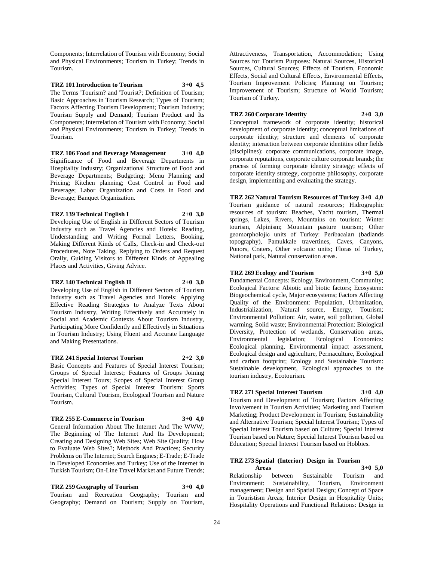Components; Interrelation of Tourism with Economy; Social and Physical Environments; Tourism in Turkey; Trends in Tourism.

**TRZ 101 Introduction to Tourism 3+0 4,5** The Terms 'Tourism? and 'Tourist?; Definition of Tourism; Basic Approaches in Tourism Research; Types of Tourism; Factors Affecting Tourism Development; Tourism Industry; Tourism Supply and Demand; Tourism Product and Its Components; Interrelation of Tourism with Economy; Social and Physical Environments; Tourism in Turkey; Trends in Tourism.

**TRZ 106 Food and Beverage Management 3+0 4,0** Significance of Food and Beverage Departments in Hospitality Industry; Organizational Structure of Food and Beverage Departments; Budgeting; Menu Planning and Pricing; Kitchen planning; Cost Control in Food and Beverage; Labor Organization and Costs in Food and Beverage; Banquet Organization.

#### **TRZ 139 Technical English I 2+0 3,0**

Developing Use of English in Different Sectors of Tourism Industry such as Travel Agencies and Hotels: Reading, Understanding and Writing Formal Letters, Booking, Making Different Kinds of Calls, Check-in and Check-out Procedures, Note Taking, Replying to Orders and Request Orally, Guiding Visitors to Different Kinds of Appealing Places and Activities, Giving Advice.

#### **TRZ 140 Technical English II 2+0 3,0**

Developing Use of English in Different Sectors of Tourism Industry such as Travel Agencies and Hotels: Applying Effective Reading Strategies to Analyze Texts About Tourism Industry, Writing Effectively and Accurately in Social and Academic Contexts About Tourism Industry, Participating More Confidently and Effectively in Situations in Tourism Industry; Using Fluent and Accurate Language and Making Presentations.

#### **TRZ 241 Special Interest Tourism 2+2 3,0**

Basic Concepts and Features of Special Interest Tourism; Groups of Special Interest; Features of Groups Joining Special Interest Tours; Scopes of Special Interest Group Activities; Types of Special Interest Tourism: Sports Tourism, Cultural Tourism, Ecological Tourism and Nature Tourism.

#### **TRZ 255 E-Commerce in Tourism 3+0 4,0**

General Information About The Internet And The WWW; The Beginning of The Internet And Its Development; Creating and Designing Web Sites; Web Site Quality; How to Evaluate Web Sites?; Methods And Practices; Security Problems on The Internet; Search Engines; E-Trade; E-Trade in Developed Economies and Turkey; Use of the Internet in Turkish Tourism; On-Line Travel Market and Future Trends;

**TRZ 259 Geography of Tourism 3+0 4,0** Tourism and Recreation Geography; Tourism and Geography; Demand on Tourism; Supply on Tourism,

Attractiveness, Transportation, Accommodation; Using Sources for Tourism Purposes: Natural Sources, Historical Sources, Cultural Sources; Effects of Tourism, Economic Effects, Social and Cultural Effects, Environmental Effects, Tourism Improvement Policies; Planning on Tourism; Improvement of Tourism; Structure of World Tourism; Tourism of Turkey.

#### **TRZ 260 Corporate Identity 2+0 3,0**

Conceptual framework of corporate identity; historical development of corporate identity; conceptual limitations of corporate identity; structure and elements of corporate identity; interaction between corporate identities other fields (disciplines): corporate communications, corporate image, corporate reputations, corporate culture corporate brands; the process of forming corporate identity strategy; effects of corporate identity strategy, corporate philosophy, corporate design, implementing and evaluating the strategy.

**TRZ 262 Natural Tourism Resources of Turkey 3+0 4,0** Tourism guidance of natural resources; Hidrographic resources of tourism: Beaches, Yacht tourism, Thermal springs, Lakes, Rıvers, Mountains on tourism: Winter tourism, Alpinism; Mountain pasture tourism; Other geomorpholojic units of Turkey: Peribacaları (badlands topography), Pamukkale travertines, Caves, Canyons, Ponors, Craters, Other volcanic units; Floras of Turkey,

#### **TRZ 269 Ecology and Tourism 3+0 5,0**

National park, Natural conservation areas.

Fundamental Concepts: Ecology, Environment, Community; Ecological Factors: Abiotic and biotic factors; Ecosystem: Biogeochemical cycle, Major ecosystems; Factors Affecting Quality of the Environment: Population, Urbanization, Industrialization, Natural source, Energy, Tourism; Environmental Pollution: Air, water, soil pollution, Global warming, Solid waste; Environmental Protection: Biological Diversity, Protection of wetlands, Conservation areas, Environmental legislation; Ecological Economics: Ecological planning, Environmental impact assessment, Ecological design and agriculture, Permaculture, Ecological and carbon footprint; Ecology and Sustainable Tourism: Sustainable development, Ecological approaches to the tourism industry, Ecotourism.

#### **TRZ 271 Special Interest Tourism 3+0 4,0**

Tourism and Development of Tourism; Factors Affecting Involvement in Tourism Activities; Marketing and Tourism Marketing; Product Development in Tourism; Sustainability and Alternative Tourism; Special Interest Tourism; Types of Special Interest Tourism based on Culture; Special Interest Tourism based on Nature; Special Interest Tourism based on Education; Special Interest Tourism based on Hobbies.

# **TRZ 273 Spatial (Interior) Design in Tourism**

**Areas 3+0 5,0** Relationship between Sustainable Tourism and Environment: Sustainability, Tourism, Environment management; Design and Spatial Design; Concept of Space in Touristism Areas; Interior Design in Hospitality Units; Hospitality Operations and Functional Relations: Design in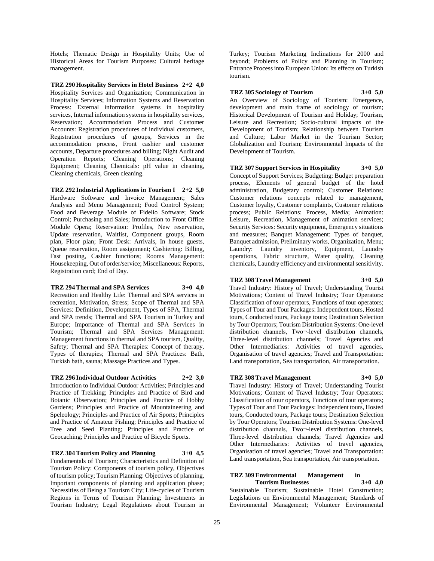Hotels; Thematic Design in Hospitality Units; Use of Historical Areas for Tourism Purposes: Cultural heritage management.

**TRZ 290 Hospitality Services in Hotel Business 2+2 4,0** Hospitality Services and Organization; Communication in Hospitality Services; Information Systems and Reservation Process: External information systems in hospitality services, Internal information systems in hospitality services, Reservation; Accommodation Process and Customer Accounts: Registration procedures of individual customers, Registration procedures of groups, Services in the accommodation process, Front cashier and customer accounts, Departure procedures and billing; Night Audit and Operation Reports; Cleaning Operations; Cleaning Equipment; Cleaning Chemicals: pH value in cleaning, Cleaning chemicals, Green cleaning.

**TRZ 292 Industrial Applications in Tourism I 2+2 5,0** Hardware Software and Invoice Management; Sales Analysis and Menu Management; Food Control System; Food and Beverage Module of Fidelio Software; Stock Control; Purchasing and Sales; Introduction to Front Office Module Opera; Reservation: Profiles, New reservation, Update reservation, Waitlist, Component groups, Room plan, Floor plan; Front Desk: Arrivals, In house guests, Queue reservation, Room assignment; Cashiering: Billing, Fast posting, Cashier functions; Rooms Management: Housekeeping, Out of order/service; Miscellaneous: Reports, Registration card; End of Day.

**TRZ 294 Thermal and SPA Services 3+0 4,0**

Recreation and Healthy Life: Thermal and SPA services in recreation, Motivation, Stress; Scope of Thermal and SPA Services: Definition, Development, Types of SPA, Thermal and SPA trends; Thermal and SPA Tourism in Turkey and Europe; Importance of Thermal and SPA Services in Tourism; Thermal and SPA Services Management: Management functions in thermal and SPA tourism, Quality, Safety; Thermal and SPA Therapies: Concept of therapy, Types of therapies; Thermal and SPA Practices: Bath, Turkish bath, sauna; Massage Practices and Types.

**TRZ 296 Individual Outdoor Activities 2+2 3,0** Introduction to Individual Outdoor Activities; Principles and Practice of Trekking; Principles and Practice of Bird and Botanic Observation; Principles and Practice of Hobby Gardens; Principles and Practice of Mountaineering and Speleology; Principles and Practice of Air Sports; Principles and Practice of Amateur Fishing; Principles and Practice of Tree and Seed Planting; Principles and Practice of Geocaching; Principles and Practice of Bicycle Sports.

**TRZ 304 Tourism Policy and Planning 3+0 4,5** Fundamentals of Tourism; Characteristics and Definition of Tourism Policy: Components of tourism policy, Objectives of tourism policy; Tourism Planning: Objectives of planning, Important components of planning and application phase; Necessities of Being a Tourism City; Life-cycles of Tourism Regions in Terms of Tourism Planning; Investments in Tourism Industry; Legal Regulations about Tourism in Turkey; Tourism Marketing Inclinations for 2000 and beyond; Problems of Policy and Planning in Tourism; Entrance Process into European Union: Its effects on Turkish tourism.

**TRZ 305 Sociology of Tourism 3+0 5,0** An Overview of Sociology of Tourism: Emergence, development and main frame of sociology of tourism; Historical Development of Tourism and Holiday; Tourism, Leisure and Recreation; Socio-cultural impacts of the Development of Tourism; Relationship between Tourism and Culture; Labor Market in the Tourism Sector; Globalization and Tourism; Environmental Impacts of the Development of Tourism.

**TRZ 307 Support Services in Hospitality 3+0 5,0** Concept of Support Services; Budgeting: Budget preparation process, Elements of general budget of the hotel administration, Budgetary control; Customer Relations: Customer relations concepts related to management, Customer loyalty, Customer complaints, Customer relations process; Public Relations: Process, Media; Animation: Leisure, Recreation, Management of animation services; Security Services: Security equipment, Emergency situations and measures; Banquet Management: Types of banquet, Banquet admission, Preliminary works, Organization, Menu; Laundry: Laundry inventory, Equipment, Laundry operations, Fabric structure, Water quality, Cleaning chemicals, Laundry efficiency and environmental sensitivity.

**TRZ 308 Travel Management 3+0 5,0**

Travel Industry: History of Travel; Understanding Tourist Motivations; Content of Travel Industry; Tour Operators: Classification of tour operators, Functions of tour operators; Types of Tour and Tour Packages: Independent tours, Hosted tours, Conducted tours, Package tours; Destination Selection by Tour Operators; Tourism Distribution Systems: One-level distribution channels, Two-level distribution channels, Three-level distribution channels; Travel Agencies and Other Intermediaries: Activities of travel agencies, Organisation of travel agencies; Travel and Transportation: Land transportation, Sea transportation, Air transportation.

**TRZ 308 Travel Management 3+0 5,0**

Travel Industry: History of Travel; Understanding Tourist Motivations; Content of Travel Industry; Tour Operators: Classification of tour operators, Functions of tour operators; Types of Tour and Tour Packages: Independent tours, Hosted tours, Conducted tours, Package tours; Destination Selection by Tour Operators; Tourism Distribution Systems: One-level distribution channels, Two--level distribution channels, Three-level distribution channels; Travel Agencies and Other Intermediaries: Activities of travel agencies, Organisation of travel agencies; Travel and Transportation: Land transportation, Sea transportation, Air transportation.

#### **TRZ 309 Environmental Management in Tourism Businesses 3+0 4,0**

Sustainable Tourism; Sustainable Hotel Construction; Legislations on Environmental Management; Standards of Environmental Management; Volunteer Environmental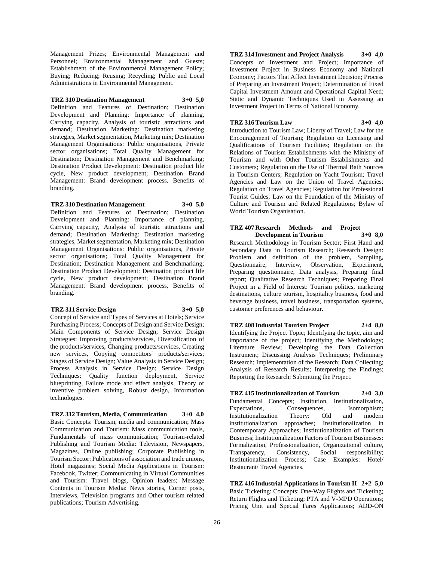Management Prizes; Environmental Management and Personnel; Environmental Management and Guests; Establishment of the Environmental Management Policy; Buying; Reducing; Reusing; Recycling; Public and Local Administrations in Environmental Management.

#### **TRZ 310 Destination Management 3+0 5,0**

Definition and Features of Destination; Destination Development and Planning: Importance of planning, Carrying capacity, Analysis of touristic attractions and demand; Destination Marketing: Destination marketing strategies, Market segmentation, Marketing mix; Destination Management Organisations: Public organisations, Private sector organisations; Total Quality Management for Destination; Destination Management and Benchmarking; Destination Product Development: Destination product life cycle, New product development; Destination Brand Management: Brand development process, Benefits of branding.

#### **TRZ 310 Destination Management 3+0 5,0**

Definition and Features of Destination; Destination Development and Planning: Importance of planning, Carrying capacity, Analysis of touristic attractions and demand; Destination Marketing: Destination marketing strategies, Market segmentation, Marketing mix; Destination Management Organisations: Public organisations, Private sector organisations; Total Quality Management for Destination; Destination Management and Benchmarking; Destination Product Development: Destination product life cycle, New product development; Destination Brand Management: Brand development process, Benefits of branding.

#### **TRZ 311 Service Design 3+0 5,0**

Concept of Service and Types of Services at Hotels; Service Purchasing Process; Concepts of Design and Service Design; Main Components of Service Design; Service Design Strategies: Improving products/services, Diversification of the products/services, Changing products/services, Creating new services, Copying competitors' products/services; Stages of Service Design; Value Analysis in Service Design; Process Analysis in Service Design; Service Design Techniques: Quality function deployment, Service blueprinting, Failure mode and effect analysis, Theory of inventive problem solving, Robust design, Information technologies.

**TRZ 312 Tourism, Media, Communication 3+0 4,0** Basic Concepts: Tourism, media and communication; Mass Communication and Tourism: Mass communication tools, Fundamentals of mass communication; Tourism-related Publishing and Tourism Media: Television, Newspapers, Magazines, Online publishing; Corporate Publishing in Tourism Sector: Publications of association and trade unions, Hotel magazines; Social Media Applications in Tourism: Facebook, Twitter; Communicating in Virtual Communities and Tourism: Travel blogs, Opinion leaders; Message Contents in Tourism Media: News stories, Corner posts, Interviews, Television programs and Other tourism related publications; Tourism Advertising.

**TRZ 314 Investment and Project Analysis 3+0 4,0** Concepts of Investment and Project; Importance of Investment Project in Business Economy and National Economy; Factors That Affect Investment Decision; Process of Preparing an Investment Project; Determination of Fixed Capital Investment Amount and Operational Capital Need; Static and Dynamic Techniques Used in Assessing an Investment Project in Terms of National Economy.

## **TRZ 316 Tourism Law 3+0 4,0**

Introduction to Tourism Law; Liberty of Travel; Law for the Encouragement of Tourism; Regulation on Licensing and Qualifications of Tourism Facilities; Regulation on the Relations of Tourism Establishments with the Ministry of Tourism and with Other Tourism Establishments and Customers; Regulation on the Use of Thermal Bath Sources in Tourism Centers; Regulation on Yacht Tourism; Travel Agencies and Law on the Union of Travel Agencies; Regulation on Travel Agencies; Regulation for Professional Tourist Guides; Law on the Foundation of the Ministry of Culture and Tourism and Related Regulations; Bylaw of World Tourism Organisation.

#### **TRZ 407 Research Methods and Project Development in Tourism 3+0 8,0**

Research Methodology in Tourism Sector; First Hand and Secondary Data in Tourism Research; Research Design: Problem and definition of the problem, Sampling, Questionnaire, Interview, Observation, Experiment, Preparing questionnaire, Data analysis, Preparing final report; Qualitative Research Techniques; Preparing Final Project in a Field of Interest: Tourism politics, marketing destinations, culture tourism, hospitality business, food and beverage business, travel business, transportation systems, customer preferences and behaviour.

# **TRZ 408 Industrial Tourism Project 2+4 8,0**

Identifying the Project Topic; Identifying the topic, aim and importance of the project; Identifying the Methodology; Literature Review; Developing the Data Collection Instrument; Discussing Analysis Techniques; Preliminary Research; Implementation of the Research; Data Collecting; Analysis of Research Results; Interpreting the Findings; Reporting the Research; Submitting the Project.

**TRZ 415 Institutionalization of Tourism 2+0 3,0** Fundamental Concepts; Institution, Institutionalization, Consequences, Institutionalization Theory: Old and modern institutionalization approaches; Institutionalization in Contemporary Approaches; Institutionalization of Tourism Business; Institutionalization Factors of Tourism Businesses: Formalization, Professionalization, Organizational culture, Transparency, Consistency, Social responsibility; Institutionalization Process; Case Examples: Hotel/ Restaurant/ Travel Agencies.

**TRZ 416 Industrial Applications in Tourism II 2+2 5,0** Basic Ticketing: Concepts; One-Way Flights and Ticketing; Return Flights and Ticketing; PTA and V-MPD Operations; Pricing Unit and Special Fares Applications; ADD-ON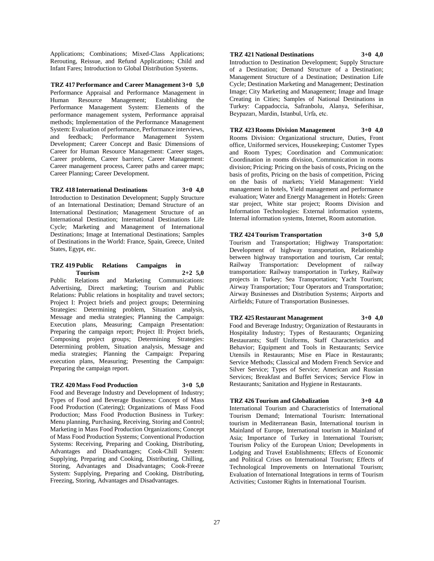Applications; Combinations; Mixed-Class Applications; Rerouting, Reissue, and Refund Applications; Child and Infant Fares; Introduction to Global Distribution Systems.

**TRZ 417 Performance and Career Management 3+0 5,0** Performance Appraisal and Performance Management in Human Resource Management; Establishing the Performance Management System: Elements of the performance management system, Performance appraisal methods; Implementation of the Performance Management System: Evaluation of performance, Performance interviews, and feedback; Performance Management System Development; Career Concept and Basic Dimensions of Career for Human Resource Management: Career stages, Career problems, Career barriers; Career Management: Career management process, Career paths and career maps; Career Planning; Career Development.

#### **TRZ 418 International Destinations 3+0 4,0**

Introduction to Destination Development; Supply Structure of an International Destination; Demand Structure of an International Destination; Management Structure of an International Destination; International Destinations Life Cycle; Marketing and Management of International Destinations; Image at International Destinations; Samples of Destinations in the World: France, Spain, Greece, United States, Egypt, etc.

#### **TRZ 419 Public Relations Campaigns in Tourism 2+2 5,0**

Public Relations and Marketing Communications: Advertising, Direct marketing; Tourism and Public Relations: Public relations in hospitality and travel sectors; Project I: Project briefs and project groups; Determining Strategies: Determining problem, Situation analysis, Message and media strategies; Planning the Campaign: Execution plans, Measuring; Campaign Presentation: Preparing the campaign report; Project II: Project briefs, Composing project groups; Determining Strategies: Determining problem, Situation analysis, Message and media strategies; Planning the Campaign: Preparing execution plans, Measuring; Presenting the Campaign: Preparing the campaign report.

#### **TRZ 420 Mass Food Production 3+0 5,0**

Food and Beverage Industry and Development of Industry; Types of Food and Beverage Business: Concept of Mass Food Production (Catering); Organizations of Mass Food Production; Mass Food Production Business in Turkey: Menu planning, Purchasing, Receiving, Storing and Control; Marketing in Mass Food Production Organizations; Concept of Mass Food Production Systems; Conventional Production Systems: Receiving, Preparing and Cooking, Distributing, Advantages and Disadvantages; Cook-Chill System: Supplying, Preparing and Cooking, Distributing, Chilling, Storing, Advantages and Disadvantages; Cook-Freeze System: Supplying, Preparing and Cooking, Distributing, Freezing, Storing, Advantages and Disadvantages.

#### **TRZ 421 National Destinations 3+0 4,0**

Introduction to Destination Development; Supply Structure of a Destination; Demand Structure of a Destination; Management Structure of a Destination; Destination Life Cycle; Destination Marketing and Management; Destination Image; City Marketing and Management; Image and Image Creating in Cities; Samples of National Destinations in Turkey: Cappadoccia, Safranbolu, Alanya, Seferihisar, Beypazarı, Mardin, Istanbul, Urfa, etc.

## **TRZ 423 Rooms Division Management 3+0 4,0**

Rooms Division: Organizational structure, Duties, Front office, Uniformed services, Housekeeping; Customer Types and Room Types; Coordination and Communication: Coordination in rooms division, Communication in rooms division; Pricing: Pricing on the basis of costs, Pricing on the basis of profits, Pricing on the basis of competition, Pricing on the basis of markets; Yield Management: Yield management in hotels, Yield management and performance evaluation; Water and Energy Management in Hotels: Green star project, White star project; Rooms Division and Information Technologies: External information systems, Internal information systems, Internet, Room automation.

#### **TRZ 424 Tourism Transportation 3+0 5,0**

Tourism and Transportation; Highway Transportation: Development of highway transportation, Relationship between highway transportation and tourism, Car rental; Railway Transportation: Development of railway transportation: Railway transportation in Turkey, Railway projects in Turkey; Sea Transportation; Yacht Tourism; Airway Transportation; Tour Operators and Transportation; Airway Businesses and Distribution Systems; Airports and Airfields; Future of Transportation Businesses.

#### **TRZ 425 Restaurant Management 3+0 4,0**

Food and Beverage Industry; Organization of Restaurants in Hospitality Industry; Types of Restaurants; Organizing Restaurants; Staff Uniforms, Staff Characteristics and Behavior; Equipment and Tools in Restaurants; Service Utensils in Restaurants; Mise en Place in Restaurants; Service Methods; Classical and Modern French Service and Silver Service; Types of Service; American and Russian Services; Breakfast and Buffet Services; Service Flow in Restaurants; Sanitation and Hygiene in Restaurants.

#### **TRZ 426 Tourism and Globalization 3+0 4,0**

International Tourism and Characteristics of International Tourism Demand; International Tourism: International tourism in Mediterranean Basin, International tourism in Mainland of Europe, International tourism in Mainland of Asia; Importance of Turkey in International Tourism; Tourism Policy of the European Union; Developments in Lodging and Travel Establishments; Effects of Economic and Political Crises on International Tourism; Effects of Technological Improvements on International Tourism; Evaluation of International Integrations in terms of Tourism Activities; Customer Rights in International Tourism.